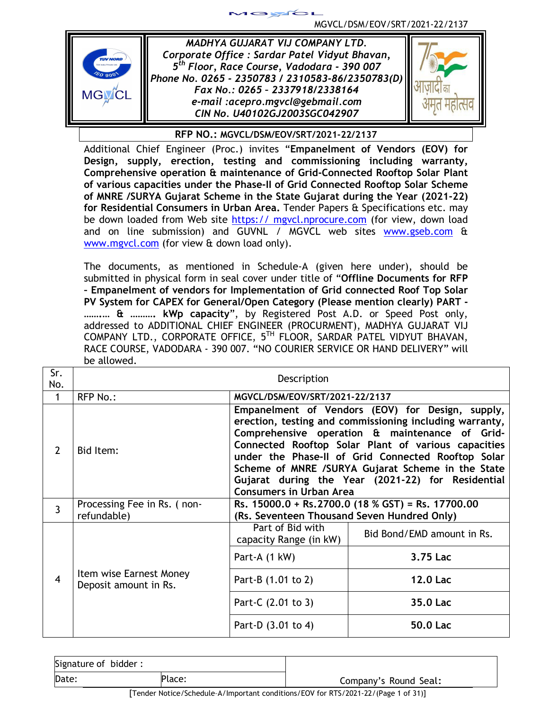

*MADHYA GUJARAT VIJ COMPANY LTD. Corporate Office : Sardar Patel Vidyut Bhavan, 5 th Floor, Race Course, Vadodara - 390 007 Phone No. 0265 - 2350783 / 2310583-86/2350783(D) Fax No.: 0265 – 2337918/2338164 e-mail :acepro.mgvcl@gebmail.com CIN No. U40102GJ2003SGC042907*

 $\blacktriangleright$ 



**RFP NO.: MGVCL/DSM/EOV/SRT/2021-22/2137**

Additional Chief Engineer (Proc.) invites "**Empanelment of Vendors (EOV) for Design, supply, erection, testing and commissioning including warranty, Comprehensive operation & maintenance of Grid-Connected Rooftop Solar Plant of various capacities under the Phase-II of Grid Connected Rooftop Solar Scheme of MNRE /SURYA Gujarat Scheme in the State Gujarat during the Year (2021-22) for Residential Consumers in Urban Area.** Tender Papers & Specifications etc. may be down loaded from Web site https:// mgycl.nprocure.com (for view, down load and on line submission) and GUVNL / MGVCL web sites www.gseb.com & www.mgvcl.com (for view & down load only).

The documents, as mentioned in Schedule-A (given here under), should be submitted in physical form in seal cover under title of "**Offline Documents for RFP – Empanelment of vendors for Implementation of Grid connected Roof Top Solar PV System for CAPEX for General/Open Category (Please mention clearly) PART - …….… & ………. kWp capacity**", by Registered Post A.D. or Speed Post only, addressed to ADDITIONAL CHIEF ENGINEER (PROCURMENT), MADHYA GUJARAT VIJ COMPANY LTD., CORPORATE OFFICE, 5<sup>TH</sup> FLOOR, SARDAR PATEL VIDYUT BHAVAN, RACE COURSE, VADODARA - 390 007. "NO COURIER SERVICE OR HAND DELIVERY" will be allowed.

| Sr.<br>No.     | Description                                      |                                                                                                                                                                                                                                                                     |                                                                                                                                                                                                                                                                                                                                 |
|----------------|--------------------------------------------------|---------------------------------------------------------------------------------------------------------------------------------------------------------------------------------------------------------------------------------------------------------------------|---------------------------------------------------------------------------------------------------------------------------------------------------------------------------------------------------------------------------------------------------------------------------------------------------------------------------------|
| 1              | <b>RFP No.:</b>                                  | MGVCL/DSM/EOV/SRT/2021-22/2137                                                                                                                                                                                                                                      |                                                                                                                                                                                                                                                                                                                                 |
| $\mathcal{P}$  | Bid Item:                                        |                                                                                                                                                                                                                                                                     | Empanelment of Vendors (EOV) for Design, supply,<br>erection, testing and commissioning including warranty,<br>Comprehensive operation & maintenance of Grid-<br>Connected Rooftop Solar Plant of various capacities<br>under the Phase-II of Grid Connected Rooftop Solar<br>Scheme of MNRE /SURYA Gujarat Scheme in the State |
| $\overline{3}$ | Processing Fee in Rs. (non-<br>refundable)       |                                                                                                                                                                                                                                                                     |                                                                                                                                                                                                                                                                                                                                 |
|                |                                                  | Part of Bid with<br>capacity Range (in kW)                                                                                                                                                                                                                          | Bid Bond/EMD amount in Rs.                                                                                                                                                                                                                                                                                                      |
|                |                                                  | Part-A (1 kW)                                                                                                                                                                                                                                                       | 3.75 Lac                                                                                                                                                                                                                                                                                                                        |
| 4              | Item wise Earnest Money<br>Deposit amount in Rs. | Gujarat during the Year (2021-22) for Residential<br><b>Consumers in Urban Area</b><br>Rs. 15000.0 + Rs. 2700.0 (18 % GST) = Rs. 17700.00<br>(Rs. Seventeen Thousand Seven Hundred Only)<br><b>12.0 Lac</b><br>Part-B (1.01 to 2)<br>35.0 Lac<br>Part-C (2.01 to 3) |                                                                                                                                                                                                                                                                                                                                 |
|                |                                                  |                                                                                                                                                                                                                                                                     |                                                                                                                                                                                                                                                                                                                                 |
|                |                                                  | Part-D (3.01 to 4)                                                                                                                                                                                                                                                  | 50.0 Lac                                                                                                                                                                                                                                                                                                                        |

| Signature of bidder: |        |                       |
|----------------------|--------|-----------------------|
| Date:                | Place: | Company's Round Seal: |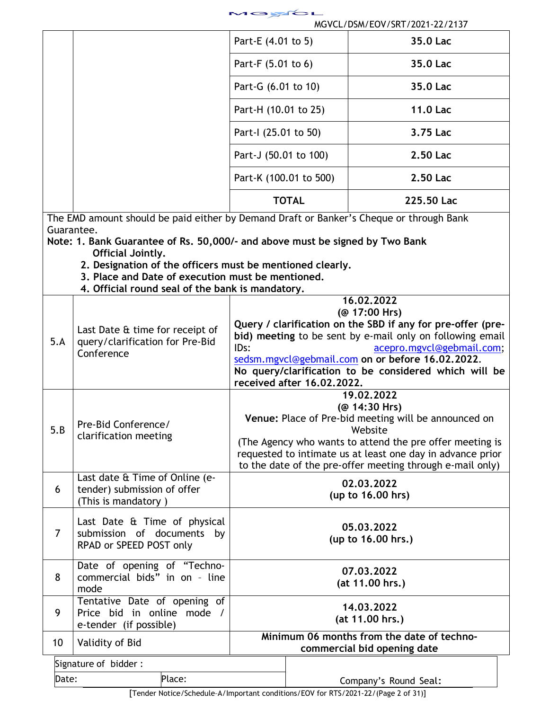| <u>ra</u><br>= |  |
|----------------|--|
|----------------|--|

|                 |                                                                                         | Part-E (4.01 to 5)                                                                                                     |                                                             | 35.0 Lac                                                  |  |
|-----------------|-----------------------------------------------------------------------------------------|------------------------------------------------------------------------------------------------------------------------|-------------------------------------------------------------|-----------------------------------------------------------|--|
|                 |                                                                                         | Part-F (5.01 to 6)                                                                                                     |                                                             | 35.0 Lac                                                  |  |
|                 |                                                                                         | Part-G (6.01 to 10)                                                                                                    |                                                             | 35.0 Lac                                                  |  |
|                 |                                                                                         | Part-H (10.01 to 25)                                                                                                   |                                                             | 11.0 Lac                                                  |  |
|                 |                                                                                         | Part-I (25.01 to 50)                                                                                                   |                                                             | 3.75 Lac                                                  |  |
|                 |                                                                                         | Part-J (50.01 to 100)                                                                                                  |                                                             | 2.50 Lac                                                  |  |
|                 |                                                                                         | Part-K (100.01 to 500)                                                                                                 |                                                             | 2.50 Lac                                                  |  |
|                 |                                                                                         |                                                                                                                        | <b>TOTAL</b>                                                | 225.50 Lac                                                |  |
|                 | The EMD amount should be paid either by Demand Draft or Banker's Cheque or through Bank |                                                                                                                        |                                                             |                                                           |  |
|                 | Guarantee.                                                                              |                                                                                                                        |                                                             |                                                           |  |
|                 | Note: 1. Bank Guarantee of Rs. 50,000/- and above must be signed by Two Bank            |                                                                                                                        |                                                             |                                                           |  |
|                 | Official Jointly.                                                                       |                                                                                                                        |                                                             |                                                           |  |
|                 | 2. Designation of the officers must be mentioned clearly.                               |                                                                                                                        |                                                             |                                                           |  |
|                 | 3. Place and Date of execution must be mentioned.                                       |                                                                                                                        |                                                             |                                                           |  |
|                 | 4. Official round seal of the bank is mandatory.                                        |                                                                                                                        |                                                             |                                                           |  |
|                 |                                                                                         |                                                                                                                        |                                                             | 16.02.2022                                                |  |
|                 |                                                                                         |                                                                                                                        |                                                             | (@ 17:00 Hrs)                                             |  |
|                 | Last Date & time for receipt of                                                         |                                                                                                                        | Query / clarification on the SBD if any for pre-offer (pre- |                                                           |  |
| 5.A             | query/clarification for Pre-Bid<br>Conference                                           | bid) meeting to be sent by e-mail only on following email                                                              |                                                             |                                                           |  |
|                 |                                                                                         | IDs:<br>acepro.mgvcl@gebmail.com;                                                                                      |                                                             |                                                           |  |
|                 |                                                                                         |                                                                                                                        |                                                             | sedsm.mgycl@gebmail.com on or before 16.02.2022.          |  |
|                 |                                                                                         |                                                                                                                        | received after 16.02.2022.                                  | No query/clarification to be considered which will be     |  |
|                 |                                                                                         |                                                                                                                        |                                                             | 19.02.2022                                                |  |
|                 |                                                                                         | (@ 14:30 Hrs)                                                                                                          |                                                             |                                                           |  |
|                 | Pre-Bid Conference/                                                                     |                                                                                                                        |                                                             | Venue: Place of Pre-bid meeting will be announced on      |  |
| 5.B             | clarification meeting                                                                   |                                                                                                                        |                                                             | Website                                                   |  |
|                 |                                                                                         | (The Agency who wants to attend the pre offer meeting is<br>requested to intimate us at least one day in advance prior |                                                             |                                                           |  |
|                 |                                                                                         |                                                                                                                        |                                                             | to the date of the pre-offer meeting through e-mail only) |  |
|                 | Last date & Time of Online (e-                                                          |                                                                                                                        |                                                             |                                                           |  |
| 6               | tender) submission of offer                                                             |                                                                                                                        |                                                             | 02.03.2022                                                |  |
|                 | (This is mandatory)                                                                     |                                                                                                                        |                                                             | (up to 16.00 hrs)                                         |  |
|                 |                                                                                         |                                                                                                                        |                                                             |                                                           |  |
|                 | Last Date & Time of physical                                                            |                                                                                                                        |                                                             |                                                           |  |
| $\overline{7}$  | submission of documents by                                                              |                                                                                                                        |                                                             | 05.03.2022<br>(up to 16.00 hrs.)                          |  |
|                 | RPAD or SPEED POST only                                                                 |                                                                                                                        |                                                             |                                                           |  |
|                 |                                                                                         |                                                                                                                        |                                                             |                                                           |  |
| 8               | Date of opening of "Techno-<br>commercial bids" in on - line                            |                                                                                                                        |                                                             | 07.03.2022                                                |  |
|                 | mode                                                                                    |                                                                                                                        |                                                             | (at 11.00 hrs.)                                           |  |
|                 | Tentative Date of opening of                                                            |                                                                                                                        |                                                             |                                                           |  |
| 9               | Price bid in online mode /                                                              |                                                                                                                        |                                                             | 14.03.2022                                                |  |
|                 | e-tender (if possible)                                                                  |                                                                                                                        |                                                             | (at 11.00 hrs.)                                           |  |
|                 |                                                                                         |                                                                                                                        |                                                             | Minimum 06 months from the date of techno-                |  |
| 10              | Validity of Bid                                                                         |                                                                                                                        |                                                             | commercial bid opening date                               |  |
|                 |                                                                                         |                                                                                                                        |                                                             |                                                           |  |
|                 | Signature of bidder:                                                                    |                                                                                                                        |                                                             |                                                           |  |
| Place:<br>Date: |                                                                                         |                                                                                                                        |                                                             | Company's Round Seal:                                     |  |
|                 |                                                                                         |                                                                                                                        |                                                             |                                                           |  |

[Tender Notice/Schedule–A/Important conditions/EOV for RTS/2021-22/(Page 2 of 31)]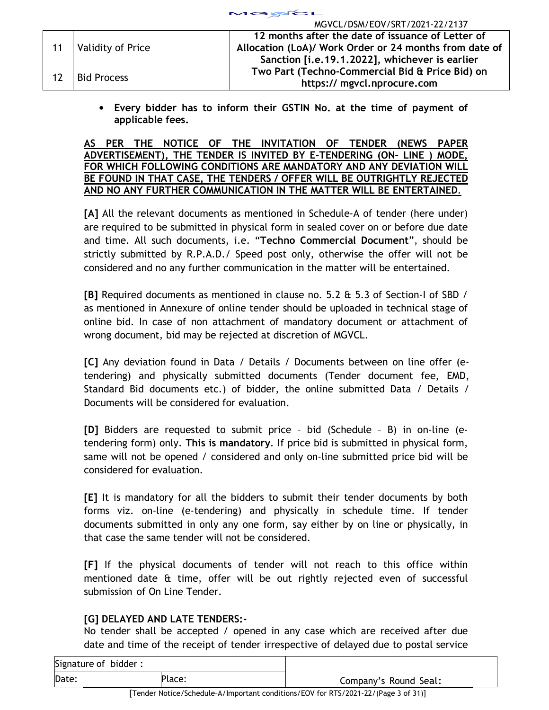|    | MOVEL/D3M/EOV/SRT/Z0ZT-ZZ/ZT37 |                                                        |                                                |  |
|----|--------------------------------|--------------------------------------------------------|------------------------------------------------|--|
| 11 |                                | 12 months after the date of issuance of Letter of      |                                                |  |
|    | Validity of Price              | Allocation (LoA)/ Work Order or 24 months from date of |                                                |  |
|    |                                |                                                        | Sanction [i.e.19.1.2022], whichever is earlier |  |
| 12 | <b>Bid Process</b>             | Two Part (Techno-Commercial Bid & Price Bid) on        |                                                |  |
|    |                                | https:// mgvcl.nprocure.com                            |                                                |  |

18YCL

MGVCL/DSM/EOV/SRT/2021-22/2137

• **Every bidder has to inform their GSTIN No. at the time of payment of applicable fees.** 

## **AS PER THE NOTICE OF THE INVITATION OF TENDER (NEWS PAPER ADVERTISEMENT), THE TENDER IS INVITED BY E-TENDERING (ON– LINE ) MODE, FOR WHICH FOLLOWING CONDITIONS ARE MANDATORY AND ANY DEVIATION WILL BE FOUND IN THAT CASE, THE TENDERS / OFFER WILL BE OUTRIGHTLY REJECTED AND NO ANY FURTHER COMMUNICATION IN THE MATTER WILL BE ENTERTAINED***.*

**[A]** All the relevant documents as mentioned in Schedule-A of tender (here under) are required to be submitted in physical form in sealed cover on or before due date and time. All such documents, i.e. "**Techno Commercial Document**", should be strictly submitted by R.P.A.D./ Speed post only, otherwise the offer will not be considered and no any further communication in the matter will be entertained.

**[B]** Required documents as mentioned in clause no. 5.2 & 5.3 of Section-I of SBD / as mentioned in Annexure of online tender should be uploaded in technical stage of online bid. In case of non attachment of mandatory document or attachment of wrong document, bid may be rejected at discretion of MGVCL.

**[C]** Any deviation found in Data / Details / Documents between on line offer (etendering) and physically submitted documents (Tender document fee, EMD, Standard Bid documents etc.) of bidder, the online submitted Data / Details / Documents will be considered for evaluation.

**[D]** Bidders are requested to submit price – bid (Schedule – B) in on-line (etendering form) only. **This is mandatory**. If price bid is submitted in physical form, same will not be opened / considered and only on-line submitted price bid will be considered for evaluation.

**[E]** It is mandatory for all the bidders to submit their tender documents by both forms viz. on-line (e-tendering) and physically in schedule time. If tender documents submitted in only any one form, say either by on line or physically, in that case the same tender will not be considered.

**[F]** If the physical documents of tender will not reach to this office within mentioned date & time, offer will be out rightly rejected even of successful submission of On Line Tender.

# **[G] DELAYED AND LATE TENDERS:-**

No tender shall be accepted / opened in any case which are received after due date and time of the receipt of tender irrespective of delayed due to postal service

| Signature of bidder:   |  |                       |
|------------------------|--|-----------------------|
| Date:<br><b>Place:</b> |  | Company's Round Seal: |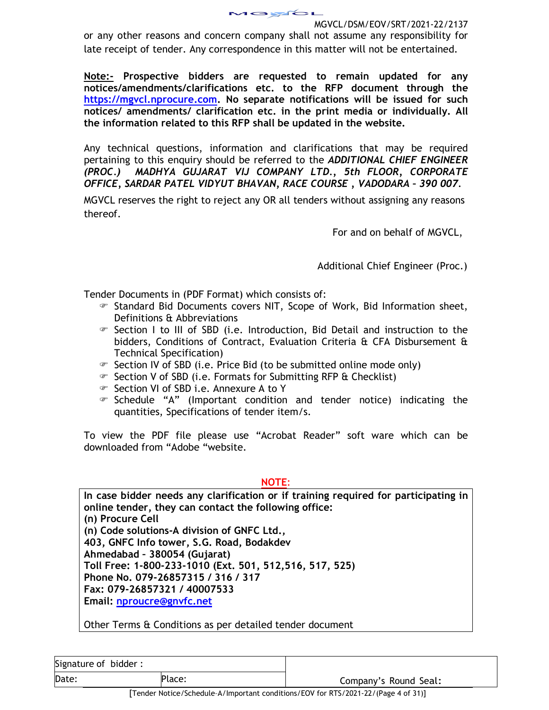or any other reasons and concern company shall not assume any responsibility for late receipt of tender. Any correspondence in this matter will not be entertained.

**Note:- Prospective bidders are requested to remain updated for any notices/amendments/clarifications etc. to the RFP document through the https://mgvcl.nprocure.com. No separate notifications will be issued for such notices/ amendments/ clarification etc. in the print media or individually. All the information related to this RFP shall be updated in the website.**

Any technical questions, information and clarifications that may be required pertaining to this enquiry should be referred to the *ADDITIONAL CHIEF ENGINEER (PROC.) MADHYA GUJARAT VIJ COMPANY LTD., 5th FLOOR, CORPORATE OFFICE, SARDAR PATEL VIDYUT BHAVAN, RACE COURSE , VADODARA – 390 007.* 

MGVCL reserves the right to reject any OR all tenders without assigning any reasons thereof.

For and on behalf of MGVCL,

Additional Chief Engineer (Proc.)

Tender Documents in (PDF Format) which consists of:

- Standard Bid Documents covers NIT, Scope of Work, Bid Information sheet, Definitions & Abbreviations
- $\mathcal F$  Section I to III of SBD (i.e. Introduction, Bid Detail and instruction to the bidders, Conditions of Contract, Evaluation Criteria & CFA Disbursement & Technical Specification)
- Section IV of SBD (i.e. Price Bid (to be submitted online mode only)
- Section V of SBD (i.e. Formats for Submitting RFP & Checklist)
- Section VI of SBD i.e. Annexure A to Y
- $\mathcal F$  Schedule "A" (Important condition and tender notice) indicating the quantities, Specifications of tender item/s.

To view the PDF file please use "Acrobat Reader" soft ware which can be downloaded from "Adobe "website.

**NOTE**:

**In case bidder needs any clarification or if training required for participating in online tender, they can contact the following office: (n) Procure Cell (n) Code solutions-A division of GNFC Ltd., 403, GNFC Info tower, S.G. Road, Bodakdev Ahmedabad – 380054 (Gujarat) Toll Free: 1-800-233-1010 (Ext. 501, 512,516, 517, 525) Phone No. 079-26857315 / 316 / 317 Fax: 079-26857321 / 40007533 Email: nproucre@gnvfc.net**

Other Terms & Conditions as per detailed tender document

| Signature of bidder: |        |                       |
|----------------------|--------|-----------------------|
| Date:                | Place: | Company's Round Seal: |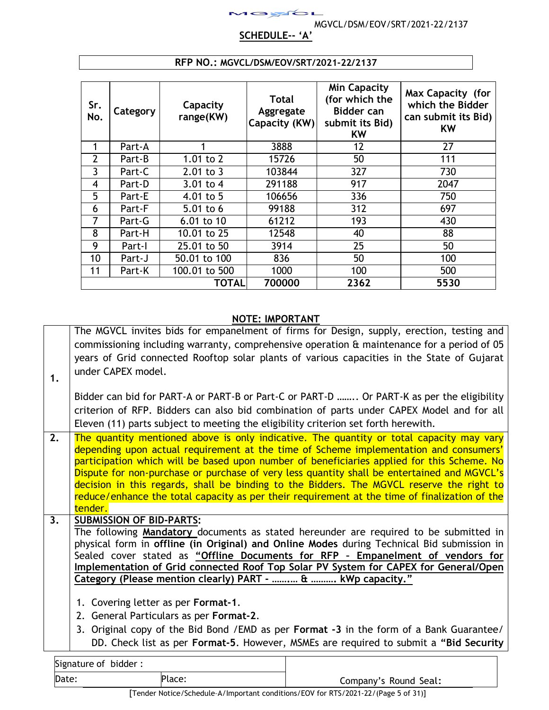## **SCHEDULE-- 'A'**

 $1$ ayol

| Sr.<br>No.     | Category | Capacity<br>range(KW) | <b>Total</b><br>Aggregate<br>Capacity (KW) | <b>Min Capacity</b><br>(for which the<br><b>Bidder can</b><br>submit its Bid)<br><b>KW</b> | Max Capacity (for<br>which the Bidder<br>can submit its Bid)<br><b>KW</b> |
|----------------|----------|-----------------------|--------------------------------------------|--------------------------------------------------------------------------------------------|---------------------------------------------------------------------------|
| 1              | Part-A   |                       | 3888                                       | 12                                                                                         | 27                                                                        |
| $\overline{2}$ | Part-B   | $1.01$ to $2$         | 15726                                      | 50                                                                                         | 111                                                                       |
| 3              | Part-C   | $2.01$ to 3           | 103844                                     | 327                                                                                        | 730                                                                       |
| 4              | Part-D   | 3.01 to 4             | 291188                                     | 917                                                                                        | 2047                                                                      |
| 5              | Part-E   | 4.01 to 5             | 106656                                     | 336                                                                                        | 750                                                                       |
| 6              | Part-F   | 5.01 to 6             | 99188                                      | 312                                                                                        | 697                                                                       |
| 7              | Part-G   | $6.01$ to 10          | 61212                                      | 193                                                                                        | 430                                                                       |
| 8              | Part-H   | 10.01 to 25           | 12548                                      | 40                                                                                         | 88                                                                        |
| 9              | Part-I   | 25.01 to 50           | 3914                                       | 25                                                                                         | 50                                                                        |
| 10             | Part-J   | 50.01 to 100          | 836                                        | 50                                                                                         | 100                                                                       |
| 11             | Part-K   | 100.01 to 500         | 1000                                       | 100                                                                                        | 500                                                                       |
|                |          | <b>TOTAL</b>          | 700000                                     | 2362                                                                                       | 5530                                                                      |

#### **RFP NO.: MGVCL/DSM/EOV/SRT/2021-22/2137**

#### **NOTE: IMPORTANT**

The MGVCL invites bids for empanelment of firms for Design, supply, erection, testing and commissioning including warranty, comprehensive operation & maintenance for a period of 05 years of Grid connected Rooftop solar plants of various capacities in the State of Gujarat under CAPEX model.

**1.**

Bidder can bid for PART-A or PART-B or Part-C or PART-D …….. Or PART-K as per the eligibility criterion of RFP. Bidders can also bid combination of parts under CAPEX Model and for all Eleven (11) parts subject to meeting the eligibility criterion set forth herewith.

**2.** The quantity mentioned above is only indicative. The quantity or total capacity may vary depending upon actual requirement at the time of Scheme implementation and consumers' participation which will be based upon number of beneficiaries applied for this Scheme. No Dispute for non-purchase or purchase of very less quantity shall be entertained and MGVCL's decision in this regards, shall be binding to the Bidders. The MGVCL reserve the right to reduce/enhance the total capacity as per their requirement at the time of finalization of the tender.

## **3. SUBMISSION OF BID-PARTS:**  The following **Mandatory** documents as stated hereunder are required to be submitted in physical form in **offline (in Original) and Online Modes** during Technical Bid submission in Sealed cover stated as **"Offline Documents for RFP – Empanelment of vendors for Implementation of Grid connected Roof Top Solar PV System for CAPEX for General/Open Category (Please mention clearly) PART - …….… & ………. kWp capacity."**

- 1. Covering letter as per **Format-1**.
- 2. General Particulars as per **Format-2**.
- 3. Original copy of the Bid Bond /EMD as per **Format -3** in the form of a Bank Guarantee/ DD. Check list as per **Format-5**. However, MSMEs are required to submit a **"Bid Security**

| Signature of bidder: |        |                       |
|----------------------|--------|-----------------------|
| Date:                | Place: | Company's Round Seal: |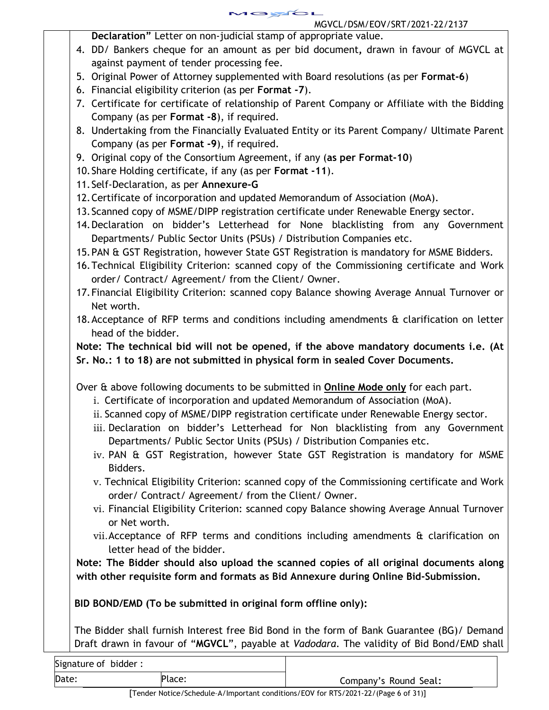MGYCL MGVCL/DSM/EOV/SRT/2021-22/2137

**Declaration"** Letter on non-judicial stamp of appropriate value.

- 4. DD/ Bankers cheque for an amount as per bid document**,** drawn in favour of MGVCL at against payment of tender processing fee.
- 5. Original Power of Attorney supplemented with Board resolutions (as per **Format-6**)
- 6. Financial eligibility criterion (as per **Format -7**).
- 7. Certificate for certificate of relationship of Parent Company or Affiliate with the Bidding Company (as per **Format -8**), if required.
- 8. Undertaking from the Financially Evaluated Entity or its Parent Company/ Ultimate Parent Company (as per **Format -9**), if required.
- 9. Original copy of the Consortium Agreement, if any (**as per Format-10**)
- 10.Share Holding certificate, if any (as per **Format -11**).
- 11.Self-Declaration, as per **Annexure-G**
- 12.Certificate of incorporation and updated Memorandum of Association (MoA).
- 13.Scanned copy of MSME/DIPP registration certificate under Renewable Energy sector.
- 14.Declaration on bidder's Letterhead for None blacklisting from any Government Departments/ Public Sector Units (PSUs) / Distribution Companies etc.
- 15.PAN & GST Registration, however State GST Registration is mandatory for MSME Bidders.
- 16.Technical Eligibility Criterion: scanned copy of the Commissioning certificate and Work order/ Contract/ Agreement/ from the Client/ Owner.
- 17.Financial Eligibility Criterion: scanned copy Balance showing Average Annual Turnover or Net worth.
- 18.Acceptance of RFP terms and conditions including amendments & clarification on letter head of the bidder.

**Note: The technical bid will not be opened, if the above mandatory documents i.e. (At Sr. No.: 1 to 18) are not submitted in physical form in sealed Cover Documents.** 

Over & above following documents to be submitted in **Online Mode only** for each part.

- i. Certificate of incorporation and updated Memorandum of Association (MoA).
- ii. Scanned copy of MSME/DIPP registration certificate under Renewable Energy sector.
- iii. Declaration on bidder's Letterhead for Non blacklisting from any Government Departments/ Public Sector Units (PSUs) / Distribution Companies etc.
- iv. PAN & GST Registration, however State GST Registration is mandatory for MSME Bidders.
- v. Technical Eligibility Criterion: scanned copy of the Commissioning certificate and Work order/ Contract/ Agreement/ from the Client/ Owner.
- vi. Financial Eligibility Criterion: scanned copy Balance showing Average Annual Turnover or Net worth.
- vii.Acceptance of RFP terms and conditions including amendments & clarification on letter head of the bidder.

**Note: The Bidder should also upload the scanned copies of all original documents along with other requisite form and formats as Bid Annexure during Online Bid-Submission.**

**BID BOND/EMD (To be submitted in original form offline only):** 

The Bidder shall furnish Interest free Bid Bond in the form of Bank Guarantee (BG)/ Demand Draft drawn in favour of "**MGVCL**", payable at *Vadodara*. The validity of Bid Bond/EMD shall

| Signature of bidder: |        |                       |
|----------------------|--------|-----------------------|
| Date:                | Place: | Company's Round Seal: |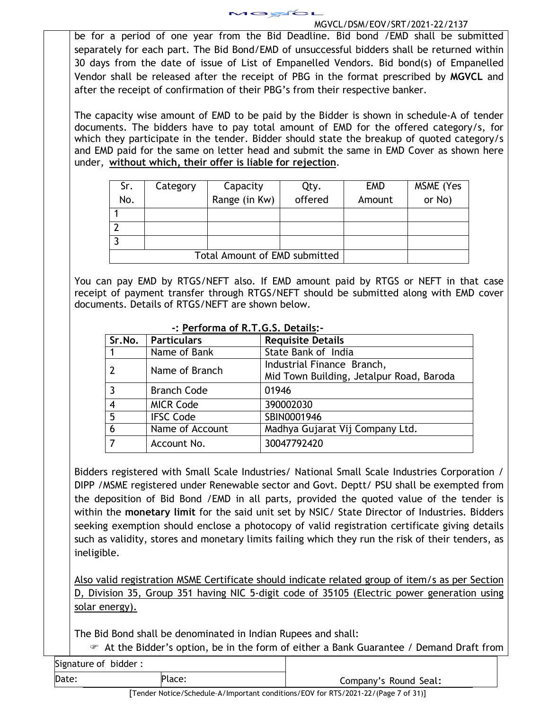

be for a period of one year from the Bid Deadline. Bid bond /EMD shall be submitted separately for each part. The Bid Bond/EMD of unsuccessful bidders shall be returned within 30 days from the date of issue of List of Empanelled Vendors. Bid bond(s) of Empanelled Vendor shall be released after the receipt of PBG in the format prescribed by **MGVCL** and after the receipt of confirmation of their PBG's from their respective banker.

The capacity wise amount of EMD to be paid by the Bidder is shown in schedule-A of tender documents. The bidders have to pay total amount of EMD for the offered category/s, for which they participate in the tender. Bidder should state the breakup of quoted category/s and EMD paid for the same on letter head and submit the same in EMD Cover as shown here under, **without which, their offer is liable for rejection**.

| Sr. | Category                             | Capacity      | Qty.    | <b>EMD</b> | MSME (Yes |
|-----|--------------------------------------|---------------|---------|------------|-----------|
| No. |                                      | Range (in Kw) | offered | Amount     | or No)    |
|     |                                      |               |         |            |           |
|     |                                      |               |         |            |           |
|     |                                      |               |         |            |           |
|     | <b>Total Amount of EMD submitted</b> |               |         |            |           |

You can pay EMD by RTGS/NEFT also. If EMD amount paid by RTGS or NEFT in that case receipt of payment transfer through RTGS/NEFT should be submitted along with EMD cover documents. Details of RTGS/NEFT are shown below.

|                | Sr.No.   Particulars | <b>Requisite Details</b>                 |
|----------------|----------------------|------------------------------------------|
| -1             | Name of Bank         | State Bank of India                      |
|                | Name of Branch       | Industrial Finance Branch,               |
|                |                      | Mid Town Building, Jetalpur Road, Baroda |
| 3              | <b>Branch Code</b>   | 01946                                    |
| $\overline{4}$ | <b>MICR Code</b>     | 390002030                                |
| 5              | <b>IFSC Code</b>     | SBIN0001946                              |
| 6              | Name of Account      | Madhya Gujarat Vij Company Ltd.          |
|                | Account No.          | 30047792420                              |

## **-: Performa of R.T.G.S. Details:-**

Bidders registered with Small Scale Industries/ National Small Scale Industries Corporation / DIPP /MSME registered under Renewable sector and Govt. Deptt/ PSU shall be exempted from the deposition of Bid Bond /EMD in all parts, provided the quoted value of the tender is within the **monetary limit** for the said unit set by NSIC/ State Director of Industries. Bidders seeking exemption should enclose a photocopy of valid registration certificate giving details such as validity, stores and monetary limits failing which they run the risk of their tenders, as ineligible.

Also valid registration MSME Certificate should indicate related group of item/s as per Section D, Division 35, Group 351 having NIC 5-digit code of 35105 (Electric power generation using solar energy).

The Bid Bond shall be denominated in Indian Rupees and shall:

At the Bidder's option, be in the form of either a Bank Guarantee / Demand Draft from

| Signature of bidder: |  |  |  |
|----------------------|--|--|--|
|----------------------|--|--|--|

Date: Place: Place: Place: Company's Round Seal:

[Tender Notice/Schedule–A/Important conditions/EOV for RTS/2021-22/(Page 7 of 31)]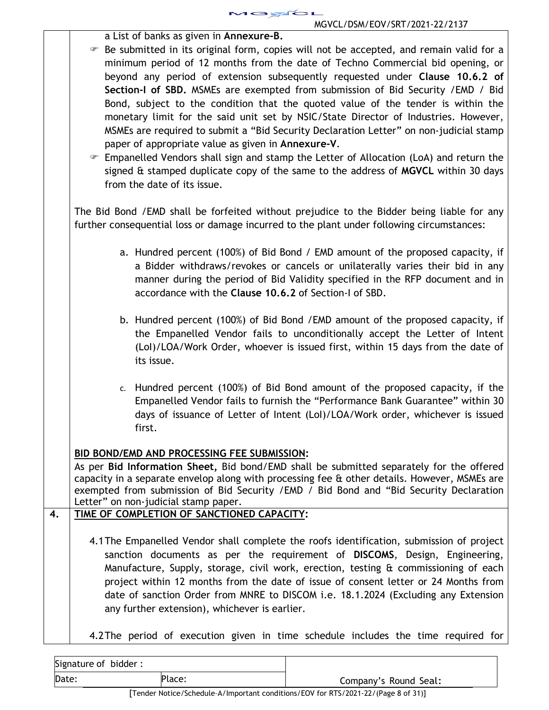

|    | MUVUL/DJM/EUV/JRT/ZUZT-ZZ/ZTJ/                                                                                                                                                                                                                                                                                                                                                                                                                                                                                                                                                                                                                                                                                                                                                                                                                                                                                                     |
|----|------------------------------------------------------------------------------------------------------------------------------------------------------------------------------------------------------------------------------------------------------------------------------------------------------------------------------------------------------------------------------------------------------------------------------------------------------------------------------------------------------------------------------------------------------------------------------------------------------------------------------------------------------------------------------------------------------------------------------------------------------------------------------------------------------------------------------------------------------------------------------------------------------------------------------------|
|    | a List of banks as given in Annexure-B.<br>Be submitted in its original form, copies will not be accepted, and remain valid for a<br>minimum period of 12 months from the date of Techno Commercial bid opening, or<br>beyond any period of extension subsequently requested under Clause 10.6.2 of<br>Section-I of SBD. MSMEs are exempted from submission of Bid Security / EMD / Bid<br>Bond, subject to the condition that the quoted value of the tender is within the<br>monetary limit for the said unit set by NSIC/State Director of Industries. However,<br>MSMEs are required to submit a "Bid Security Declaration Letter" on non-judicial stamp<br>paper of appropriate value as given in Annexure-V.<br>• Empanelled Vendors shall sign and stamp the Letter of Allocation (LoA) and return the<br>signed & stamped duplicate copy of the same to the address of MGVCL within 30 days<br>from the date of its issue. |
|    | The Bid Bond / EMD shall be forfeited without prejudice to the Bidder being liable for any<br>further consequential loss or damage incurred to the plant under following circumstances:                                                                                                                                                                                                                                                                                                                                                                                                                                                                                                                                                                                                                                                                                                                                            |
|    | a. Hundred percent (100%) of Bid Bond / EMD amount of the proposed capacity, if<br>a Bidder withdraws/revokes or cancels or unilaterally varies their bid in any<br>manner during the period of Bid Validity specified in the RFP document and in<br>accordance with the Clause 10.6.2 of Section-I of SBD.                                                                                                                                                                                                                                                                                                                                                                                                                                                                                                                                                                                                                        |
|    | b. Hundred percent (100%) of Bid Bond / EMD amount of the proposed capacity, if<br>the Empanelled Vendor fails to unconditionally accept the Letter of Intent<br>(Lol)/LOA/Work Order, whoever is issued first, within 15 days from the date of<br>its issue.                                                                                                                                                                                                                                                                                                                                                                                                                                                                                                                                                                                                                                                                      |
|    | c. Hundred percent (100%) of Bid Bond amount of the proposed capacity, if the<br>Empanelled Vendor fails to furnish the "Performance Bank Guarantee" within 30<br>days of issuance of Letter of Intent (LoI)/LOA/Work order, whichever is issued<br>first.                                                                                                                                                                                                                                                                                                                                                                                                                                                                                                                                                                                                                                                                         |
| 4. | <b>BID BOND/EMD AND PROCESSING FEE SUBMISSION:</b><br>As per Bid Information Sheet, Bid bond/EMD shall be submitted separately for the offered<br>capacity in a separate envelop along with processing fee & other details. However, MSMEs are<br>exempted from submission of Bid Security / EMD / Bid Bond and "Bid Security Declaration<br>Letter" on non-judicial stamp paper.<br>TIME OF COMPLETION OF SANCTIONED CAPACITY:                                                                                                                                                                                                                                                                                                                                                                                                                                                                                                    |
|    | 4.1 The Empanelled Vendor shall complete the roofs identification, submission of project<br>sanction documents as per the requirement of DISCOMS, Design, Engineering,<br>Manufacture, Supply, storage, civil work, erection, testing & commissioning of each<br>project within 12 months from the date of issue of consent letter or 24 Months from<br>date of sanction Order from MNRE to DISCOM i.e. 18.1.2024 (Excluding any Extension<br>any further extension), whichever is earlier.                                                                                                                                                                                                                                                                                                                                                                                                                                        |

4.2The period of execution given in time schedule includes the time required for

| Signature of bidder: |        |                       |
|----------------------|--------|-----------------------|
| Date:                | Place: | Company's Round Seal: |
| $-$                  | .      | ______                |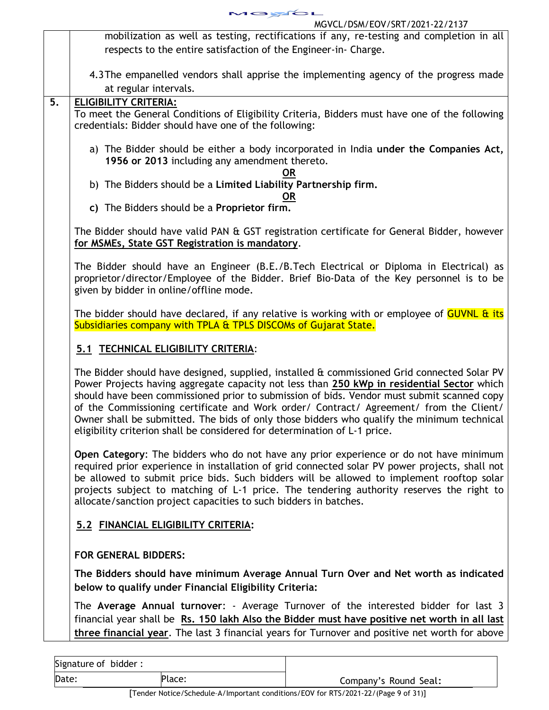

mobilization as well as testing, rectifications if any, re-testing and completion in all respects to the entire satisfaction of the Engineer-in- Charge.

- 4.3The empanelled vendors shall apprise the implementing agency of the progress made at regular intervals.
- **5. ELIGIBILITY CRITERIA:**

To meet the General Conditions of Eligibility Criteria, Bidders must have one of the following credentials: Bidder should have one of the following:

- a) The Bidder should be either a body incorporated in India **under the Companies Act, 1956 or 2013** including any amendment thereto.
	- **OR**
- b) The Bidders should be a **Limited Liability Partnership firm.**

#### **OR**

**c)** The Bidders should be a **Proprietor firm.** 

The Bidder should have valid PAN & GST registration certificate for General Bidder, however **for MSMEs, State GST Registration is mandatory**.

The Bidder should have an Engineer (B.E./B.Tech Electrical or Diploma in Electrical) as proprietor/director/Employee of the Bidder. Brief Bio-Data of the Key personnel is to be given by bidder in online/offline mode.

The bidder should have declared, if any relative is working with or employee of **GUVNL & its** Subsidiaries company with TPLA & TPLS DISCOMs of Gujarat State.

# **5.1 TECHNICAL ELIGIBILITY CRITERIA**:

The Bidder should have designed, supplied, installed & commissioned Grid connected Solar PV Power Projects having aggregate capacity not less than **250 kWp in residential Sector** which should have been commissioned prior to submission of bids. Vendor must submit scanned copy of the Commissioning certificate and Work order/ Contract/ Agreement/ from the Client/ Owner shall be submitted. The bids of only those bidders who qualify the minimum technical eligibility criterion shall be considered for determination of L-1 price.

**Open Category**: The bidders who do not have any prior experience or do not have minimum required prior experience in installation of grid connected solar PV power projects, shall not be allowed to submit price bids. Such bidders will be allowed to implement rooftop solar projects subject to matching of L-1 price. The tendering authority reserves the right to allocate/sanction project capacities to such bidders in batches.

# **5.2 FINANCIAL ELIGIBILITY CRITERIA:**

# **FOR GENERAL BIDDERS:**

**The Bidders should have minimum Average Annual Turn Over and Net worth as indicated below to qualify under Financial Eligibility Criteria:** 

The **Average Annual turnover**: - Average Turnover of the interested bidder for last 3 financial year shall be **Rs. 150 lakh Also the Bidder must have positive net worth in all last three financial year**. The last 3 financial years for Turnover and positive net worth for above

| Signature of bidder: |        |                       |
|----------------------|--------|-----------------------|
| Date:                | Place: | Company's Round Seal: |

[Tender Notice/Schedule–A/Important conditions/EOV for RTS/2021-22/(Page 9 of 31)]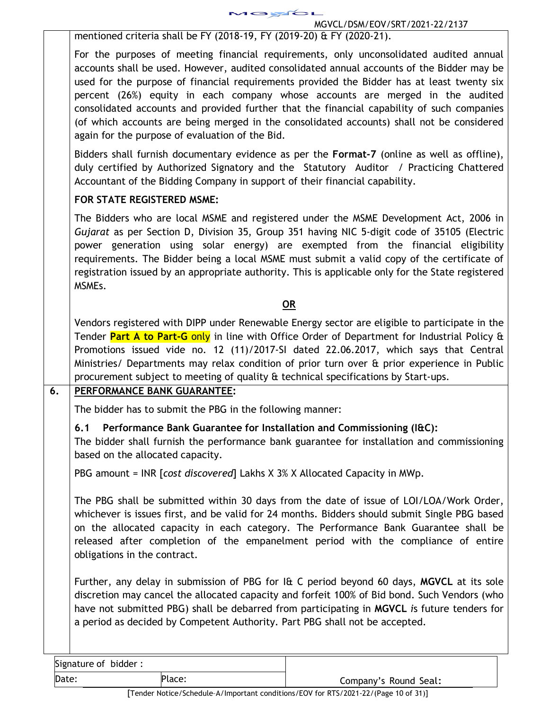mentioned criteria shall be FY (2018-19, FY (2019-20) & FY (2020-21).

For the purposes of meeting financial requirements, only unconsolidated audited annual accounts shall be used. However, audited consolidated annual accounts of the Bidder may be used for the purpose of financial requirements provided the Bidder has at least twenty six percent (26%) equity in each company whose accounts are merged in the audited consolidated accounts and provided further that the financial capability of such companies (of which accounts are being merged in the consolidated accounts) shall not be considered again for the purpose of evaluation of the Bid.

1GYGL

Bidders shall furnish documentary evidence as per the **Format-7** (online as well as offline), duly certified by Authorized Signatory and the Statutory Auditor / Practicing Chattered Accountant of the Bidding Company in support of their financial capability.

# **FOR STATE REGISTERED MSME:**

The Bidders who are local MSME and registered under the MSME Development Act, 2006 in *Gujarat* as per Section D, Division 35, Group 351 having NIC 5-digit code of 35105 (Electric power generation using solar energy) are exempted from the financial eligibility requirements. The Bidder being a local MSME must submit a valid copy of the certificate of registration issued by an appropriate authority. This is applicable only for the State registered MSMEs.

# **OR**

Vendors registered with DIPP under Renewable Energy sector are eligible to participate in the Tender **Part A to Part-G** only in line with Office Order of Department for Industrial Policy & Promotions issued vide no. 12 (11)/2017-SI dated 22.06.2017, which says that Central Ministries/ Departments may relax condition of prior turn over & prior experience in Public procurement subject to meeting of quality & technical specifications by Start-ups.

# **6. PERFORMANCE BANK GUARANTEE:**

The bidder has to submit the PBG in the following manner:

# **6.1 Performance Bank Guarantee for Installation and Commissioning (I&C):**

The bidder shall furnish the performance bank guarantee for installation and commissioning based on the allocated capacity.

PBG amount = INR [*cost discovered*] Lakhs X 3% X Allocated Capacity in MWp.

The PBG shall be submitted within 30 days from the date of issue of LOI/LOA/Work Order, whichever is issues first, and be valid for 24 months. Bidders should submit Single PBG based on the allocated capacity in each category. The Performance Bank Guarantee shall be released after completion of the empanelment period with the compliance of entire obligations in the contract.

Further, any delay in submission of PBG for I& C period beyond 60 days, **MGVCL** at its sole discretion may cancel the allocated capacity and forfeit 100% of Bid bond. Such Vendors (who have not submitted PBG) shall be debarred from participating in **MGVCL** *i*s future tenders for a period as decided by Competent Authority. Part PBG shall not be accepted.

| Signature of bidder: |        |                       |
|----------------------|--------|-----------------------|
| Date:                | Place: | Company's Round Seal: |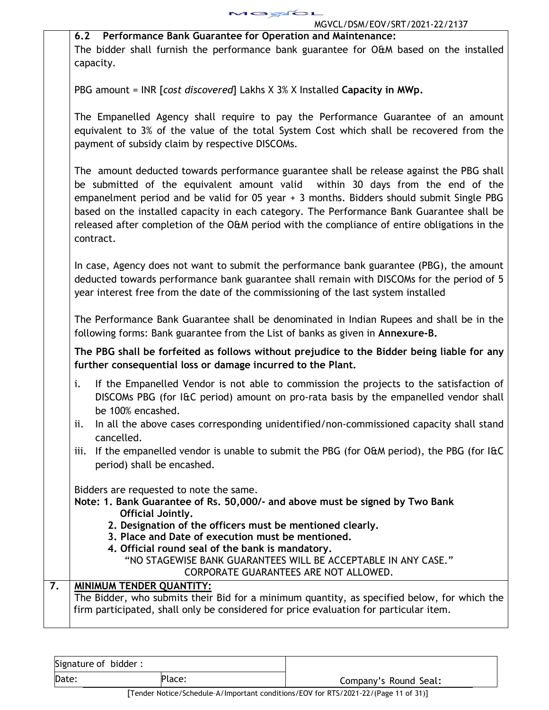MOYCL MGVCL/DSM/EOV/SRT/2021-22/2137

|    | MOVCE/D3M/EOV/3RT/Z0ZT-ZZ/ZT37                                                                  |
|----|-------------------------------------------------------------------------------------------------|
|    | 6.2 Performance Bank Guarantee for Operation and Maintenance:                                   |
|    | The bidder shall furnish the performance bank guarantee for O&M based on the installed          |
|    | capacity.                                                                                       |
|    |                                                                                                 |
|    | PBG amount = INR [cost discovered] Lakhs X 3% X Installed Capacity in MWp.                      |
|    |                                                                                                 |
|    |                                                                                                 |
|    | The Empanelled Agency shall require to pay the Performance Guarantee of an amount               |
|    | equivalent to 3% of the value of the total System Cost which shall be recovered from the        |
|    | payment of subsidy claim by respective DISCOMs.                                                 |
|    |                                                                                                 |
|    | The amount deducted towards performance guarantee shall be release against the PBG shall        |
|    | be submitted of the equivalent amount valid within 30 days from the end of the                  |
|    | empanelment period and be valid for 05 year + 3 months. Bidders should submit Single PBG        |
|    | based on the installed capacity in each category. The Performance Bank Guarantee shall be       |
|    |                                                                                                 |
|    | released after completion of the O&M period with the compliance of entire obligations in the    |
|    | contract.                                                                                       |
|    |                                                                                                 |
|    | In case, Agency does not want to submit the performance bank guarantee (PBG), the amount        |
|    | deducted towards performance bank guarantee shall remain with DISCOMs for the period of 5       |
|    | year interest free from the date of the commissioning of the last system installed              |
|    |                                                                                                 |
|    | The Performance Bank Guarantee shall be denominated in Indian Rupees and shall be in the        |
|    | following forms: Bank guarantee from the List of banks as given in Annexure-B.                  |
|    |                                                                                                 |
|    | The PBG shall be forfeited as follows without prejudice to the Bidder being liable for any      |
|    | further consequential loss or damage incurred to the Plant.                                     |
|    | If the Empanelled Vendor is not able to commission the projects to the satisfaction of<br>i.    |
|    |                                                                                                 |
|    | DISCOMs PBG (for I&C period) amount on pro-rata basis by the empanelled vendor shall            |
|    | be 100% encashed.                                                                               |
|    | In all the above cases corresponding unidentified/non-commissioned capacity shall stand<br>ii.  |
|    | cancelled.                                                                                      |
|    | If the empanelled vendor is unable to submit the PBG (for O&M period), the PBG (for I&C<br>iii. |
|    | period) shall be encashed.                                                                      |
|    |                                                                                                 |
|    | Bidders are requested to note the same.                                                         |
|    | Note: 1. Bank Guarantee of Rs. 50,000/- and above must be signed by Two Bank                    |
|    | Official Jointly.                                                                               |
|    | 2. Designation of the officers must be mentioned clearly.                                       |
|    | 3. Place and Date of execution must be mentioned.                                               |
|    | 4. Official round seal of the bank is mandatory.                                                |
|    | "NO STAGEWISE BANK GUARANTEES WILL BE ACCEPTABLE IN ANY CASE."                                  |
|    | CORPORATE GUARANTEES ARE NOT ALLOWED.                                                           |
| 7. | <b>MINIMUM TENDER QUANTITY:</b>                                                                 |
|    | The Bidder, who submits their Bid for a minimum quantity, as specified below, for which the     |
|    | firm participated, shall only be considered for price evaluation for particular item.           |
|    |                                                                                                 |
|    |                                                                                                 |

| Date:<br>Place: | Company's Round Seal: |
|-----------------|-----------------------|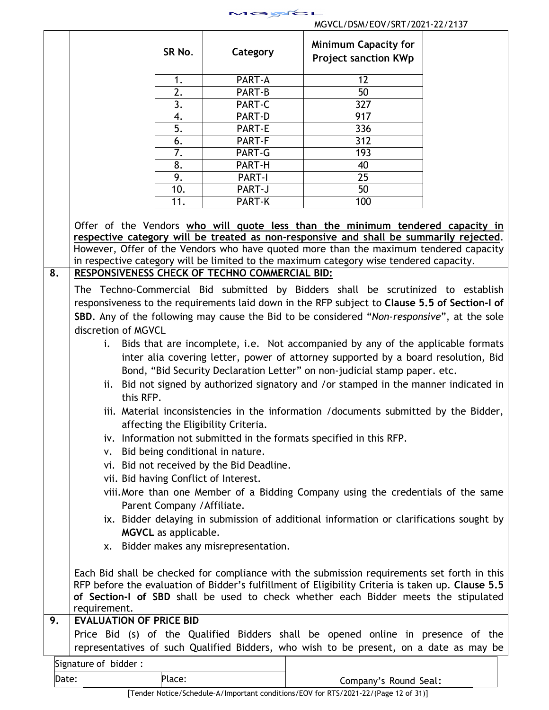

|    |                                                | SR No.                      | Category                                       | <b>Minimum Capacity for</b><br><b>Project sanction KWp</b>                                                                                                               |  |
|----|------------------------------------------------|-----------------------------|------------------------------------------------|--------------------------------------------------------------------------------------------------------------------------------------------------------------------------|--|
|    |                                                | 1.                          | PART-A                                         | 12                                                                                                                                                                       |  |
|    |                                                | 2.                          | PART-B                                         | 50                                                                                                                                                                       |  |
|    |                                                | 3.                          | PART-C                                         | 327                                                                                                                                                                      |  |
|    |                                                | 4.                          | PART-D                                         | 917                                                                                                                                                                      |  |
|    |                                                | $\overline{5}$ .            | PART-E                                         | 336                                                                                                                                                                      |  |
|    |                                                | 6.                          | PART-F                                         | 312                                                                                                                                                                      |  |
|    |                                                | 7.                          | PART-G                                         | 193                                                                                                                                                                      |  |
|    |                                                | 8.                          | PART-H                                         | 40                                                                                                                                                                       |  |
|    |                                                | 9.                          | PART-I                                         | 25                                                                                                                                                                       |  |
|    |                                                | 10.                         | PART-J                                         | 50                                                                                                                                                                       |  |
|    |                                                | 11.                         | PART-K                                         | 100                                                                                                                                                                      |  |
|    |                                                |                             |                                                |                                                                                                                                                                          |  |
|    |                                                |                             |                                                | Offer of the Vendors who will quote less than the minimum tendered capacity in<br>respective category will be treated as non-responsive and shall be summarily rejected. |  |
|    |                                                |                             |                                                | However, Offer of the Vendors who have quoted more than the maximum tendered capacity                                                                                    |  |
|    |                                                |                             |                                                | in respective category will be limited to the maximum category wise tendered capacity.                                                                                   |  |
| 8. |                                                |                             | RESPONSIVENESS CHECK OF TECHNO COMMERCIAL BID: |                                                                                                                                                                          |  |
|    |                                                |                             |                                                | The Techno-Commercial Bid submitted by Bidders shall be scrutinized to establish                                                                                         |  |
|    |                                                |                             |                                                | responsiveness to the requirements laid down in the RFP subject to Clause 5.5 of Section-I of                                                                            |  |
|    |                                                |                             |                                                |                                                                                                                                                                          |  |
|    |                                                |                             |                                                | SBD. Any of the following may cause the Bid to be considered "Non-responsive", at the sole                                                                               |  |
|    | discretion of MGVCL                            |                             |                                                |                                                                                                                                                                          |  |
|    | i.                                             |                             |                                                | Bids that are incomplete, i.e. Not accompanied by any of the applicable formats                                                                                          |  |
|    |                                                |                             |                                                | inter alia covering letter, power of attorney supported by a board resolution, Bid                                                                                       |  |
|    |                                                |                             |                                                | Bond, "Bid Security Declaration Letter" on non-judicial stamp paper. etc.                                                                                                |  |
|    |                                                |                             |                                                | ii. Bid not signed by authorized signatory and /or stamped in the manner indicated in                                                                                    |  |
|    | this RFP.                                      |                             |                                                |                                                                                                                                                                          |  |
|    |                                                |                             |                                                | iii. Material inconsistencies in the information /documents submitted by the Bidder,                                                                                     |  |
|    |                                                |                             | affecting the Eligibility Criteria.            |                                                                                                                                                                          |  |
|    |                                                |                             |                                                |                                                                                                                                                                          |  |
|    |                                                |                             |                                                | iv. Information not submitted in the formats specified in this RFP.                                                                                                      |  |
|    | V.                                             |                             | Bid being conditional in nature.               |                                                                                                                                                                          |  |
|    |                                                |                             | vi. Bid not received by the Bid Deadline.      |                                                                                                                                                                          |  |
|    |                                                |                             | vii. Bid having Conflict of Interest.          |                                                                                                                                                                          |  |
|    |                                                |                             |                                                | viii. More than one Member of a Bidding Company using the credentials of the same                                                                                        |  |
|    |                                                | Parent Company / Affiliate. |                                                |                                                                                                                                                                          |  |
|    |                                                |                             |                                                | ix. Bidder delaying in submission of additional information or clarifications sought by                                                                                  |  |
|    |                                                | MGVCL as applicable.        |                                                |                                                                                                                                                                          |  |
|    |                                                |                             | x. Bidder makes any misrepresentation.         |                                                                                                                                                                          |  |
|    |                                                |                             |                                                |                                                                                                                                                                          |  |
|    |                                                |                             |                                                |                                                                                                                                                                          |  |
|    |                                                |                             |                                                | Each Bid shall be checked for compliance with the submission requirements set forth in this                                                                              |  |
|    |                                                |                             |                                                | RFP before the evaluation of Bidder's fulfillment of Eligibility Criteria is taken up. Clause 5.5                                                                        |  |
|    |                                                |                             |                                                | of Section-I of SBD shall be used to check whether each Bidder meets the stipulated                                                                                      |  |
|    | requirement.<br><b>EVALUATION OF PRICE BID</b> |                             |                                                |                                                                                                                                                                          |  |
| 9. |                                                |                             |                                                |                                                                                                                                                                          |  |
|    |                                                |                             |                                                | Price Bid (s) of the Qualified Bidders shall be opened online in presence of the                                                                                         |  |
|    |                                                |                             |                                                | representatives of such Qualified Bidders, who wish to be present, on a date as may be                                                                                   |  |
|    | Signature of bidder:                           |                             |                                                |                                                                                                                                                                          |  |
|    | Date:                                          | Place:                      |                                                | Company's Round Seal:                                                                                                                                                    |  |
|    |                                                |                             |                                                |                                                                                                                                                                          |  |

[Tender Notice/Schedule–A/Important conditions/EOV for RTS/2021-22/(Page 12 of 31)]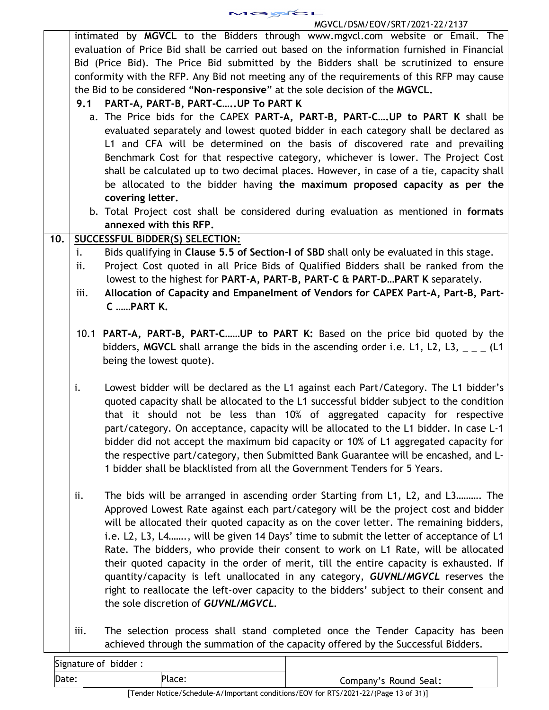MOYOL

# MGVCL/DSM/EOV/SRT/2021-22/2137

| evaluation of Price Bid shall be carried out based on the information furnished in Financial<br>Bid (Price Bid). The Price Bid submitted by the Bidders shall be scrutinized to ensure<br>conformity with the RFP. Any Bid not meeting any of the requirements of this RFP may cause<br>the Bid to be considered "Non-responsive" at the sole decision of the MGVCL.<br>PART-A, PART-B, PART-C  UP To PART K<br>9.1<br>a. The Price bids for the CAPEX PART-A, PART-B, PART-C UP to PART K shall be<br>evaluated separately and lowest quoted bidder in each category shall be declared as<br>L1 and CFA will be determined on the basis of discovered rate and prevailing<br>Benchmark Cost for that respective category, whichever is lower. The Project Cost<br>shall be calculated up to two decimal places. However, in case of a tie, capacity shall<br>be allocated to the bidder having the maximum proposed capacity as per the<br>covering letter.<br>b. Total Project cost shall be considered during evaluation as mentioned in formats<br>annexed with this RFP.<br>10.<br>SUCCESSFUL BIDDER(S) SELECTION:<br>Bids qualifying in Clause 5.5 of Section-I of SBD shall only be evaluated in this stage.<br>i.<br>ii.<br>lowest to the highest for PART-A, PART-B, PART-C & PART-DPART K separately.<br>Allocation of Capacity and Empanelment of Vendors for CAPEX Part-A, Part-B, Part-<br>iii.<br>C PART K.<br>10.1 PART-A, PART-B, PART-CUP to PART K: Based on the price bid quoted by the<br>bidders, MGVCL shall arrange the bids in the ascending order i.e. L1, L2, L3, $_{-}$ $_{-}$ (L1<br>being the lowest quote).<br>Lowest bidder will be declared as the L1 against each Part/Category. The L1 bidder's<br>i.<br>quoted capacity shall be allocated to the L1 successful bidder subject to the condition<br>that it should not be less than 10% of aggregated capacity for respective<br>part/category. On acceptance, capacity will be allocated to the L1 bidder. In case L-1<br>bidder did not accept the maximum bid capacity or 10% of L1 aggregated capacity for<br>the respective part/category, then Submitted Bank Guarantee will be encashed, and L-<br>1 bidder shall be blacklisted from all the Government Tenders for 5 Years.<br>The bids will be arranged in ascending order Starting from L1, L2, and L3 The<br>ii.<br>Approved Lowest Rate against each part/category will be the project cost and bidder<br>will be allocated their quoted capacity as on the cover letter. The remaining bidders,<br>i.e. L2, L3, L4, will be given 14 Days' time to submit the letter of acceptance of L1<br>Rate. The bidders, who provide their consent to work on L1 Rate, will be allocated<br>their quoted capacity in the order of merit, till the entire capacity is exhausted. If<br>quantity/capacity is left unallocated in any category, GUVNL/MGVCL reserves the<br>right to reallocate the left-over capacity to the bidders' subject to their consent and<br>the sole discretion of GUVNL/MGVCL.<br>The selection process shall stand completed once the Tender Capacity has been<br>iii.<br>achieved through the summation of the capacity offered by the Successful Bidders. |  | intimated by MGVCL to the Bidders through www.mgycl.com website or Email. The       |
|-----------------------------------------------------------------------------------------------------------------------------------------------------------------------------------------------------------------------------------------------------------------------------------------------------------------------------------------------------------------------------------------------------------------------------------------------------------------------------------------------------------------------------------------------------------------------------------------------------------------------------------------------------------------------------------------------------------------------------------------------------------------------------------------------------------------------------------------------------------------------------------------------------------------------------------------------------------------------------------------------------------------------------------------------------------------------------------------------------------------------------------------------------------------------------------------------------------------------------------------------------------------------------------------------------------------------------------------------------------------------------------------------------------------------------------------------------------------------------------------------------------------------------------------------------------------------------------------------------------------------------------------------------------------------------------------------------------------------------------------------------------------------------------------------------------------------------------------------------------------------------------------------------------------------------------------------------------------------------------------------------------------------------------------------------------------------------------------------------------------------------------------------------------------------------------------------------------------------------------------------------------------------------------------------------------------------------------------------------------------------------------------------------------------------------------------------------------------------------------------------------------------------------------------------------------------------------------------------------------------------------------------------------------------------------------------------------------------------------------------------------------------------------------------------------------------------------------------------------------------------------------------------------------------------------------------------------------------------------------------------------------------------------------------------------------------------------------------------------------------------------------------------------------------------------------------------------------------------------|--|-------------------------------------------------------------------------------------|
|                                                                                                                                                                                                                                                                                                                                                                                                                                                                                                                                                                                                                                                                                                                                                                                                                                                                                                                                                                                                                                                                                                                                                                                                                                                                                                                                                                                                                                                                                                                                                                                                                                                                                                                                                                                                                                                                                                                                                                                                                                                                                                                                                                                                                                                                                                                                                                                                                                                                                                                                                                                                                                                                                                                                                                                                                                                                                                                                                                                                                                                                                                                                                                                                                             |  |                                                                                     |
|                                                                                                                                                                                                                                                                                                                                                                                                                                                                                                                                                                                                                                                                                                                                                                                                                                                                                                                                                                                                                                                                                                                                                                                                                                                                                                                                                                                                                                                                                                                                                                                                                                                                                                                                                                                                                                                                                                                                                                                                                                                                                                                                                                                                                                                                                                                                                                                                                                                                                                                                                                                                                                                                                                                                                                                                                                                                                                                                                                                                                                                                                                                                                                                                                             |  |                                                                                     |
|                                                                                                                                                                                                                                                                                                                                                                                                                                                                                                                                                                                                                                                                                                                                                                                                                                                                                                                                                                                                                                                                                                                                                                                                                                                                                                                                                                                                                                                                                                                                                                                                                                                                                                                                                                                                                                                                                                                                                                                                                                                                                                                                                                                                                                                                                                                                                                                                                                                                                                                                                                                                                                                                                                                                                                                                                                                                                                                                                                                                                                                                                                                                                                                                                             |  |                                                                                     |
|                                                                                                                                                                                                                                                                                                                                                                                                                                                                                                                                                                                                                                                                                                                                                                                                                                                                                                                                                                                                                                                                                                                                                                                                                                                                                                                                                                                                                                                                                                                                                                                                                                                                                                                                                                                                                                                                                                                                                                                                                                                                                                                                                                                                                                                                                                                                                                                                                                                                                                                                                                                                                                                                                                                                                                                                                                                                                                                                                                                                                                                                                                                                                                                                                             |  |                                                                                     |
|                                                                                                                                                                                                                                                                                                                                                                                                                                                                                                                                                                                                                                                                                                                                                                                                                                                                                                                                                                                                                                                                                                                                                                                                                                                                                                                                                                                                                                                                                                                                                                                                                                                                                                                                                                                                                                                                                                                                                                                                                                                                                                                                                                                                                                                                                                                                                                                                                                                                                                                                                                                                                                                                                                                                                                                                                                                                                                                                                                                                                                                                                                                                                                                                                             |  |                                                                                     |
|                                                                                                                                                                                                                                                                                                                                                                                                                                                                                                                                                                                                                                                                                                                                                                                                                                                                                                                                                                                                                                                                                                                                                                                                                                                                                                                                                                                                                                                                                                                                                                                                                                                                                                                                                                                                                                                                                                                                                                                                                                                                                                                                                                                                                                                                                                                                                                                                                                                                                                                                                                                                                                                                                                                                                                                                                                                                                                                                                                                                                                                                                                                                                                                                                             |  |                                                                                     |
|                                                                                                                                                                                                                                                                                                                                                                                                                                                                                                                                                                                                                                                                                                                                                                                                                                                                                                                                                                                                                                                                                                                                                                                                                                                                                                                                                                                                                                                                                                                                                                                                                                                                                                                                                                                                                                                                                                                                                                                                                                                                                                                                                                                                                                                                                                                                                                                                                                                                                                                                                                                                                                                                                                                                                                                                                                                                                                                                                                                                                                                                                                                                                                                                                             |  |                                                                                     |
|                                                                                                                                                                                                                                                                                                                                                                                                                                                                                                                                                                                                                                                                                                                                                                                                                                                                                                                                                                                                                                                                                                                                                                                                                                                                                                                                                                                                                                                                                                                                                                                                                                                                                                                                                                                                                                                                                                                                                                                                                                                                                                                                                                                                                                                                                                                                                                                                                                                                                                                                                                                                                                                                                                                                                                                                                                                                                                                                                                                                                                                                                                                                                                                                                             |  |                                                                                     |
|                                                                                                                                                                                                                                                                                                                                                                                                                                                                                                                                                                                                                                                                                                                                                                                                                                                                                                                                                                                                                                                                                                                                                                                                                                                                                                                                                                                                                                                                                                                                                                                                                                                                                                                                                                                                                                                                                                                                                                                                                                                                                                                                                                                                                                                                                                                                                                                                                                                                                                                                                                                                                                                                                                                                                                                                                                                                                                                                                                                                                                                                                                                                                                                                                             |  |                                                                                     |
|                                                                                                                                                                                                                                                                                                                                                                                                                                                                                                                                                                                                                                                                                                                                                                                                                                                                                                                                                                                                                                                                                                                                                                                                                                                                                                                                                                                                                                                                                                                                                                                                                                                                                                                                                                                                                                                                                                                                                                                                                                                                                                                                                                                                                                                                                                                                                                                                                                                                                                                                                                                                                                                                                                                                                                                                                                                                                                                                                                                                                                                                                                                                                                                                                             |  |                                                                                     |
|                                                                                                                                                                                                                                                                                                                                                                                                                                                                                                                                                                                                                                                                                                                                                                                                                                                                                                                                                                                                                                                                                                                                                                                                                                                                                                                                                                                                                                                                                                                                                                                                                                                                                                                                                                                                                                                                                                                                                                                                                                                                                                                                                                                                                                                                                                                                                                                                                                                                                                                                                                                                                                                                                                                                                                                                                                                                                                                                                                                                                                                                                                                                                                                                                             |  |                                                                                     |
|                                                                                                                                                                                                                                                                                                                                                                                                                                                                                                                                                                                                                                                                                                                                                                                                                                                                                                                                                                                                                                                                                                                                                                                                                                                                                                                                                                                                                                                                                                                                                                                                                                                                                                                                                                                                                                                                                                                                                                                                                                                                                                                                                                                                                                                                                                                                                                                                                                                                                                                                                                                                                                                                                                                                                                                                                                                                                                                                                                                                                                                                                                                                                                                                                             |  |                                                                                     |
|                                                                                                                                                                                                                                                                                                                                                                                                                                                                                                                                                                                                                                                                                                                                                                                                                                                                                                                                                                                                                                                                                                                                                                                                                                                                                                                                                                                                                                                                                                                                                                                                                                                                                                                                                                                                                                                                                                                                                                                                                                                                                                                                                                                                                                                                                                                                                                                                                                                                                                                                                                                                                                                                                                                                                                                                                                                                                                                                                                                                                                                                                                                                                                                                                             |  |                                                                                     |
|                                                                                                                                                                                                                                                                                                                                                                                                                                                                                                                                                                                                                                                                                                                                                                                                                                                                                                                                                                                                                                                                                                                                                                                                                                                                                                                                                                                                                                                                                                                                                                                                                                                                                                                                                                                                                                                                                                                                                                                                                                                                                                                                                                                                                                                                                                                                                                                                                                                                                                                                                                                                                                                                                                                                                                                                                                                                                                                                                                                                                                                                                                                                                                                                                             |  |                                                                                     |
|                                                                                                                                                                                                                                                                                                                                                                                                                                                                                                                                                                                                                                                                                                                                                                                                                                                                                                                                                                                                                                                                                                                                                                                                                                                                                                                                                                                                                                                                                                                                                                                                                                                                                                                                                                                                                                                                                                                                                                                                                                                                                                                                                                                                                                                                                                                                                                                                                                                                                                                                                                                                                                                                                                                                                                                                                                                                                                                                                                                                                                                                                                                                                                                                                             |  |                                                                                     |
|                                                                                                                                                                                                                                                                                                                                                                                                                                                                                                                                                                                                                                                                                                                                                                                                                                                                                                                                                                                                                                                                                                                                                                                                                                                                                                                                                                                                                                                                                                                                                                                                                                                                                                                                                                                                                                                                                                                                                                                                                                                                                                                                                                                                                                                                                                                                                                                                                                                                                                                                                                                                                                                                                                                                                                                                                                                                                                                                                                                                                                                                                                                                                                                                                             |  |                                                                                     |
|                                                                                                                                                                                                                                                                                                                                                                                                                                                                                                                                                                                                                                                                                                                                                                                                                                                                                                                                                                                                                                                                                                                                                                                                                                                                                                                                                                                                                                                                                                                                                                                                                                                                                                                                                                                                                                                                                                                                                                                                                                                                                                                                                                                                                                                                                                                                                                                                                                                                                                                                                                                                                                                                                                                                                                                                                                                                                                                                                                                                                                                                                                                                                                                                                             |  |                                                                                     |
|                                                                                                                                                                                                                                                                                                                                                                                                                                                                                                                                                                                                                                                                                                                                                                                                                                                                                                                                                                                                                                                                                                                                                                                                                                                                                                                                                                                                                                                                                                                                                                                                                                                                                                                                                                                                                                                                                                                                                                                                                                                                                                                                                                                                                                                                                                                                                                                                                                                                                                                                                                                                                                                                                                                                                                                                                                                                                                                                                                                                                                                                                                                                                                                                                             |  | Project Cost quoted in all Price Bids of Qualified Bidders shall be ranked from the |
|                                                                                                                                                                                                                                                                                                                                                                                                                                                                                                                                                                                                                                                                                                                                                                                                                                                                                                                                                                                                                                                                                                                                                                                                                                                                                                                                                                                                                                                                                                                                                                                                                                                                                                                                                                                                                                                                                                                                                                                                                                                                                                                                                                                                                                                                                                                                                                                                                                                                                                                                                                                                                                                                                                                                                                                                                                                                                                                                                                                                                                                                                                                                                                                                                             |  |                                                                                     |
|                                                                                                                                                                                                                                                                                                                                                                                                                                                                                                                                                                                                                                                                                                                                                                                                                                                                                                                                                                                                                                                                                                                                                                                                                                                                                                                                                                                                                                                                                                                                                                                                                                                                                                                                                                                                                                                                                                                                                                                                                                                                                                                                                                                                                                                                                                                                                                                                                                                                                                                                                                                                                                                                                                                                                                                                                                                                                                                                                                                                                                                                                                                                                                                                                             |  |                                                                                     |
|                                                                                                                                                                                                                                                                                                                                                                                                                                                                                                                                                                                                                                                                                                                                                                                                                                                                                                                                                                                                                                                                                                                                                                                                                                                                                                                                                                                                                                                                                                                                                                                                                                                                                                                                                                                                                                                                                                                                                                                                                                                                                                                                                                                                                                                                                                                                                                                                                                                                                                                                                                                                                                                                                                                                                                                                                                                                                                                                                                                                                                                                                                                                                                                                                             |  |                                                                                     |
|                                                                                                                                                                                                                                                                                                                                                                                                                                                                                                                                                                                                                                                                                                                                                                                                                                                                                                                                                                                                                                                                                                                                                                                                                                                                                                                                                                                                                                                                                                                                                                                                                                                                                                                                                                                                                                                                                                                                                                                                                                                                                                                                                                                                                                                                                                                                                                                                                                                                                                                                                                                                                                                                                                                                                                                                                                                                                                                                                                                                                                                                                                                                                                                                                             |  |                                                                                     |
|                                                                                                                                                                                                                                                                                                                                                                                                                                                                                                                                                                                                                                                                                                                                                                                                                                                                                                                                                                                                                                                                                                                                                                                                                                                                                                                                                                                                                                                                                                                                                                                                                                                                                                                                                                                                                                                                                                                                                                                                                                                                                                                                                                                                                                                                                                                                                                                                                                                                                                                                                                                                                                                                                                                                                                                                                                                                                                                                                                                                                                                                                                                                                                                                                             |  |                                                                                     |
|                                                                                                                                                                                                                                                                                                                                                                                                                                                                                                                                                                                                                                                                                                                                                                                                                                                                                                                                                                                                                                                                                                                                                                                                                                                                                                                                                                                                                                                                                                                                                                                                                                                                                                                                                                                                                                                                                                                                                                                                                                                                                                                                                                                                                                                                                                                                                                                                                                                                                                                                                                                                                                                                                                                                                                                                                                                                                                                                                                                                                                                                                                                                                                                                                             |  |                                                                                     |
|                                                                                                                                                                                                                                                                                                                                                                                                                                                                                                                                                                                                                                                                                                                                                                                                                                                                                                                                                                                                                                                                                                                                                                                                                                                                                                                                                                                                                                                                                                                                                                                                                                                                                                                                                                                                                                                                                                                                                                                                                                                                                                                                                                                                                                                                                                                                                                                                                                                                                                                                                                                                                                                                                                                                                                                                                                                                                                                                                                                                                                                                                                                                                                                                                             |  |                                                                                     |
|                                                                                                                                                                                                                                                                                                                                                                                                                                                                                                                                                                                                                                                                                                                                                                                                                                                                                                                                                                                                                                                                                                                                                                                                                                                                                                                                                                                                                                                                                                                                                                                                                                                                                                                                                                                                                                                                                                                                                                                                                                                                                                                                                                                                                                                                                                                                                                                                                                                                                                                                                                                                                                                                                                                                                                                                                                                                                                                                                                                                                                                                                                                                                                                                                             |  |                                                                                     |
|                                                                                                                                                                                                                                                                                                                                                                                                                                                                                                                                                                                                                                                                                                                                                                                                                                                                                                                                                                                                                                                                                                                                                                                                                                                                                                                                                                                                                                                                                                                                                                                                                                                                                                                                                                                                                                                                                                                                                                                                                                                                                                                                                                                                                                                                                                                                                                                                                                                                                                                                                                                                                                                                                                                                                                                                                                                                                                                                                                                                                                                                                                                                                                                                                             |  |                                                                                     |
|                                                                                                                                                                                                                                                                                                                                                                                                                                                                                                                                                                                                                                                                                                                                                                                                                                                                                                                                                                                                                                                                                                                                                                                                                                                                                                                                                                                                                                                                                                                                                                                                                                                                                                                                                                                                                                                                                                                                                                                                                                                                                                                                                                                                                                                                                                                                                                                                                                                                                                                                                                                                                                                                                                                                                                                                                                                                                                                                                                                                                                                                                                                                                                                                                             |  |                                                                                     |
|                                                                                                                                                                                                                                                                                                                                                                                                                                                                                                                                                                                                                                                                                                                                                                                                                                                                                                                                                                                                                                                                                                                                                                                                                                                                                                                                                                                                                                                                                                                                                                                                                                                                                                                                                                                                                                                                                                                                                                                                                                                                                                                                                                                                                                                                                                                                                                                                                                                                                                                                                                                                                                                                                                                                                                                                                                                                                                                                                                                                                                                                                                                                                                                                                             |  |                                                                                     |
|                                                                                                                                                                                                                                                                                                                                                                                                                                                                                                                                                                                                                                                                                                                                                                                                                                                                                                                                                                                                                                                                                                                                                                                                                                                                                                                                                                                                                                                                                                                                                                                                                                                                                                                                                                                                                                                                                                                                                                                                                                                                                                                                                                                                                                                                                                                                                                                                                                                                                                                                                                                                                                                                                                                                                                                                                                                                                                                                                                                                                                                                                                                                                                                                                             |  |                                                                                     |
|                                                                                                                                                                                                                                                                                                                                                                                                                                                                                                                                                                                                                                                                                                                                                                                                                                                                                                                                                                                                                                                                                                                                                                                                                                                                                                                                                                                                                                                                                                                                                                                                                                                                                                                                                                                                                                                                                                                                                                                                                                                                                                                                                                                                                                                                                                                                                                                                                                                                                                                                                                                                                                                                                                                                                                                                                                                                                                                                                                                                                                                                                                                                                                                                                             |  |                                                                                     |
|                                                                                                                                                                                                                                                                                                                                                                                                                                                                                                                                                                                                                                                                                                                                                                                                                                                                                                                                                                                                                                                                                                                                                                                                                                                                                                                                                                                                                                                                                                                                                                                                                                                                                                                                                                                                                                                                                                                                                                                                                                                                                                                                                                                                                                                                                                                                                                                                                                                                                                                                                                                                                                                                                                                                                                                                                                                                                                                                                                                                                                                                                                                                                                                                                             |  |                                                                                     |
|                                                                                                                                                                                                                                                                                                                                                                                                                                                                                                                                                                                                                                                                                                                                                                                                                                                                                                                                                                                                                                                                                                                                                                                                                                                                                                                                                                                                                                                                                                                                                                                                                                                                                                                                                                                                                                                                                                                                                                                                                                                                                                                                                                                                                                                                                                                                                                                                                                                                                                                                                                                                                                                                                                                                                                                                                                                                                                                                                                                                                                                                                                                                                                                                                             |  |                                                                                     |
|                                                                                                                                                                                                                                                                                                                                                                                                                                                                                                                                                                                                                                                                                                                                                                                                                                                                                                                                                                                                                                                                                                                                                                                                                                                                                                                                                                                                                                                                                                                                                                                                                                                                                                                                                                                                                                                                                                                                                                                                                                                                                                                                                                                                                                                                                                                                                                                                                                                                                                                                                                                                                                                                                                                                                                                                                                                                                                                                                                                                                                                                                                                                                                                                                             |  |                                                                                     |
|                                                                                                                                                                                                                                                                                                                                                                                                                                                                                                                                                                                                                                                                                                                                                                                                                                                                                                                                                                                                                                                                                                                                                                                                                                                                                                                                                                                                                                                                                                                                                                                                                                                                                                                                                                                                                                                                                                                                                                                                                                                                                                                                                                                                                                                                                                                                                                                                                                                                                                                                                                                                                                                                                                                                                                                                                                                                                                                                                                                                                                                                                                                                                                                                                             |  |                                                                                     |
|                                                                                                                                                                                                                                                                                                                                                                                                                                                                                                                                                                                                                                                                                                                                                                                                                                                                                                                                                                                                                                                                                                                                                                                                                                                                                                                                                                                                                                                                                                                                                                                                                                                                                                                                                                                                                                                                                                                                                                                                                                                                                                                                                                                                                                                                                                                                                                                                                                                                                                                                                                                                                                                                                                                                                                                                                                                                                                                                                                                                                                                                                                                                                                                                                             |  |                                                                                     |
|                                                                                                                                                                                                                                                                                                                                                                                                                                                                                                                                                                                                                                                                                                                                                                                                                                                                                                                                                                                                                                                                                                                                                                                                                                                                                                                                                                                                                                                                                                                                                                                                                                                                                                                                                                                                                                                                                                                                                                                                                                                                                                                                                                                                                                                                                                                                                                                                                                                                                                                                                                                                                                                                                                                                                                                                                                                                                                                                                                                                                                                                                                                                                                                                                             |  |                                                                                     |
|                                                                                                                                                                                                                                                                                                                                                                                                                                                                                                                                                                                                                                                                                                                                                                                                                                                                                                                                                                                                                                                                                                                                                                                                                                                                                                                                                                                                                                                                                                                                                                                                                                                                                                                                                                                                                                                                                                                                                                                                                                                                                                                                                                                                                                                                                                                                                                                                                                                                                                                                                                                                                                                                                                                                                                                                                                                                                                                                                                                                                                                                                                                                                                                                                             |  |                                                                                     |
|                                                                                                                                                                                                                                                                                                                                                                                                                                                                                                                                                                                                                                                                                                                                                                                                                                                                                                                                                                                                                                                                                                                                                                                                                                                                                                                                                                                                                                                                                                                                                                                                                                                                                                                                                                                                                                                                                                                                                                                                                                                                                                                                                                                                                                                                                                                                                                                                                                                                                                                                                                                                                                                                                                                                                                                                                                                                                                                                                                                                                                                                                                                                                                                                                             |  |                                                                                     |
|                                                                                                                                                                                                                                                                                                                                                                                                                                                                                                                                                                                                                                                                                                                                                                                                                                                                                                                                                                                                                                                                                                                                                                                                                                                                                                                                                                                                                                                                                                                                                                                                                                                                                                                                                                                                                                                                                                                                                                                                                                                                                                                                                                                                                                                                                                                                                                                                                                                                                                                                                                                                                                                                                                                                                                                                                                                                                                                                                                                                                                                                                                                                                                                                                             |  |                                                                                     |
|                                                                                                                                                                                                                                                                                                                                                                                                                                                                                                                                                                                                                                                                                                                                                                                                                                                                                                                                                                                                                                                                                                                                                                                                                                                                                                                                                                                                                                                                                                                                                                                                                                                                                                                                                                                                                                                                                                                                                                                                                                                                                                                                                                                                                                                                                                                                                                                                                                                                                                                                                                                                                                                                                                                                                                                                                                                                                                                                                                                                                                                                                                                                                                                                                             |  |                                                                                     |
|                                                                                                                                                                                                                                                                                                                                                                                                                                                                                                                                                                                                                                                                                                                                                                                                                                                                                                                                                                                                                                                                                                                                                                                                                                                                                                                                                                                                                                                                                                                                                                                                                                                                                                                                                                                                                                                                                                                                                                                                                                                                                                                                                                                                                                                                                                                                                                                                                                                                                                                                                                                                                                                                                                                                                                                                                                                                                                                                                                                                                                                                                                                                                                                                                             |  |                                                                                     |
|                                                                                                                                                                                                                                                                                                                                                                                                                                                                                                                                                                                                                                                                                                                                                                                                                                                                                                                                                                                                                                                                                                                                                                                                                                                                                                                                                                                                                                                                                                                                                                                                                                                                                                                                                                                                                                                                                                                                                                                                                                                                                                                                                                                                                                                                                                                                                                                                                                                                                                                                                                                                                                                                                                                                                                                                                                                                                                                                                                                                                                                                                                                                                                                                                             |  |                                                                                     |
|                                                                                                                                                                                                                                                                                                                                                                                                                                                                                                                                                                                                                                                                                                                                                                                                                                                                                                                                                                                                                                                                                                                                                                                                                                                                                                                                                                                                                                                                                                                                                                                                                                                                                                                                                                                                                                                                                                                                                                                                                                                                                                                                                                                                                                                                                                                                                                                                                                                                                                                                                                                                                                                                                                                                                                                                                                                                                                                                                                                                                                                                                                                                                                                                                             |  |                                                                                     |
|                                                                                                                                                                                                                                                                                                                                                                                                                                                                                                                                                                                                                                                                                                                                                                                                                                                                                                                                                                                                                                                                                                                                                                                                                                                                                                                                                                                                                                                                                                                                                                                                                                                                                                                                                                                                                                                                                                                                                                                                                                                                                                                                                                                                                                                                                                                                                                                                                                                                                                                                                                                                                                                                                                                                                                                                                                                                                                                                                                                                                                                                                                                                                                                                                             |  |                                                                                     |
|                                                                                                                                                                                                                                                                                                                                                                                                                                                                                                                                                                                                                                                                                                                                                                                                                                                                                                                                                                                                                                                                                                                                                                                                                                                                                                                                                                                                                                                                                                                                                                                                                                                                                                                                                                                                                                                                                                                                                                                                                                                                                                                                                                                                                                                                                                                                                                                                                                                                                                                                                                                                                                                                                                                                                                                                                                                                                                                                                                                                                                                                                                                                                                                                                             |  |                                                                                     |
|                                                                                                                                                                                                                                                                                                                                                                                                                                                                                                                                                                                                                                                                                                                                                                                                                                                                                                                                                                                                                                                                                                                                                                                                                                                                                                                                                                                                                                                                                                                                                                                                                                                                                                                                                                                                                                                                                                                                                                                                                                                                                                                                                                                                                                                                                                                                                                                                                                                                                                                                                                                                                                                                                                                                                                                                                                                                                                                                                                                                                                                                                                                                                                                                                             |  |                                                                                     |
|                                                                                                                                                                                                                                                                                                                                                                                                                                                                                                                                                                                                                                                                                                                                                                                                                                                                                                                                                                                                                                                                                                                                                                                                                                                                                                                                                                                                                                                                                                                                                                                                                                                                                                                                                                                                                                                                                                                                                                                                                                                                                                                                                                                                                                                                                                                                                                                                                                                                                                                                                                                                                                                                                                                                                                                                                                                                                                                                                                                                                                                                                                                                                                                                                             |  |                                                                                     |

| Date:                 | Place: | Company's Round Seal: |
|-----------------------|--------|-----------------------|
| Signature of bidder : |        |                       |

[Tender Notice/Schedule–A/Important conditions/EOV for RTS/2021-22/(Page 13 of 31)]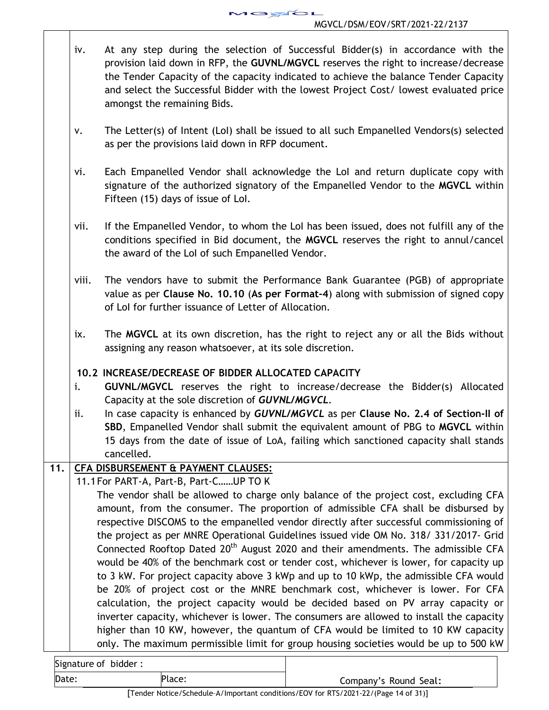- iv. At any step during the selection of Successful Bidder(s) in accordance with the provision laid down in RFP, the **GUVNL/MGVCL** reserves the right to increase/decrease the Tender Capacity of the capacity indicated to achieve the balance Tender Capacity and select the Successful Bidder with the lowest Project Cost/ lowest evaluated price amongst the remaining Bids.
- v. The Letter(s) of Intent (LoI) shall be issued to all such Empanelled Vendors(s) selected as per the provisions laid down in RFP document.
- vi. Each Empanelled Vendor shall acknowledge the LoI and return duplicate copy with signature of the authorized signatory of the Empanelled Vendor to the **MGVCL** within Fifteen (15) days of issue of LoI.
- vii. If the Empanelled Vendor, to whom the LoI has been issued, does not fulfill any of the conditions specified in Bid document, the **MGVCL** reserves the right to annul/cancel the award of the LoI of such Empanelled Vendor.
- viii. The vendors have to submit the Performance Bank Guarantee (PGB) of appropriate value as per **Clause No. 10.10** (**As per Format-4**) along with submission of signed copy of LoI for further issuance of Letter of Allocation.
- ix. The **MGVCL** at its own discretion, has the right to reject any or all the Bids without assigning any reason whatsoever, at its sole discretion.

# **10.2 INCREASE/DECREASE OF BIDDER ALLOCATED CAPACITY**

- i. **GUVNL/MGVCL** reserves the right to increase/decrease the Bidder(s) Allocated Capacity at the sole discretion of *GUVNL/MGVCL.*
- ii. In case capacity is enhanced by *GUVNL/MGVCL* as per **Clause No. 2.4 of Section-II of SBD**, Empanelled Vendor shall submit the equivalent amount of PBG to **MGVCL** within 15 days from the date of issue of LoA, failing which sanctioned capacity shall stands cancelled.

# **11. CFA DISBURSEMENT & PAYMENT CLAUSES:**

11.1For PART-A, Part-B, Part-C……UP TO K

The vendor shall be allowed to charge only balance of the project cost, excluding CFA amount, from the consumer. The proportion of admissible CFA shall be disbursed by respective DISCOMS to the empanelled vendor directly after successful commissioning of the project as per MNRE Operational Guidelines issued vide OM No. 318/ 331/2017- Grid Connected Rooftop Dated  $20<sup>th</sup>$  August 2020 and their amendments. The admissible CFA would be 40% of the benchmark cost or tender cost, whichever is lower, for capacity up to 3 kW. For project capacity above 3 kWp and up to 10 kWp, the admissible CFA would be 20% of project cost or the MNRE benchmark cost, whichever is lower. For CFA calculation, the project capacity would be decided based on PV array capacity or inverter capacity, whichever is lower. The consumers are allowed to install the capacity higher than 10 KW, however, the quantum of CFA would be limited to 10 KW capacity only. The maximum permissible limit for group housing societies would be up to 500 kW

| Signature of bidder: |                       |
|----------------------|-----------------------|
| Date:<br>Place:      | Company's Round Seal: |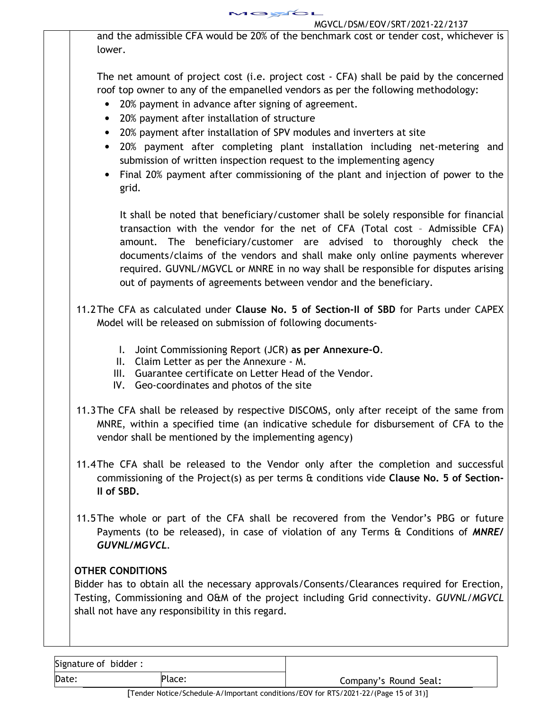and the admissible CFA would be 20% of the benchmark cost or tender cost, whichever is lower.

The net amount of project cost (i.e. project cost - CFA) shall be paid by the concerned roof top owner to any of the empanelled vendors as per the following methodology:

- 20% payment in advance after signing of agreement.
- 20% payment after installation of structure
- 20% payment after installation of SPV modules and inverters at site
- 20% payment after completing plant installation including net-metering and submission of written inspection request to the implementing agency
- Final 20% payment after commissioning of the plant and injection of power to the grid.

It shall be noted that beneficiary/customer shall be solely responsible for financial transaction with the vendor for the net of CFA (Total cost – Admissible CFA) amount. The beneficiary/customer are advised to thoroughly check the documents/claims of the vendors and shall make only online payments wherever required. GUVNL/MGVCL or MNRE in no way shall be responsible for disputes arising out of payments of agreements between vendor and the beneficiary.

- 11.2The CFA as calculated under **Clause No. 5 of Section-II of SBD** for Parts under CAPEX Model will be released on submission of following documents-
	- I. Joint Commissioning Report (JCR) **as per Annexure-O**.
	- II. Claim Letter as per the Annexure M.
	- III. Guarantee certificate on Letter Head of the Vendor.
	- IV. Geo-coordinates and photos of the site
- 11.3The CFA shall be released by respective DISCOMS, only after receipt of the same from MNRE, within a specified time (an indicative schedule for disbursement of CFA to the vendor shall be mentioned by the implementing agency)
- 11.4The CFA shall be released to the Vendor only after the completion and successful commissioning of the Project(s) as per terms & conditions vide **Clause No. 5 of Section-II of SBD.**
- 11.5The whole or part of the CFA shall be recovered from the Vendor's PBG or future Payments (to be released), in case of violation of any Terms & Conditions of *MNRE/ GUVNL/MGVCL.*

# **OTHER CONDITIONS**

Bidder has to obtain all the necessary approvals/Consents/Clearances required for Erection, Testing, Commissioning and O&M of the project including Grid connectivity. *GUVNL/MGVCL*  shall not have any responsibility in this regard.

Signature of bidder :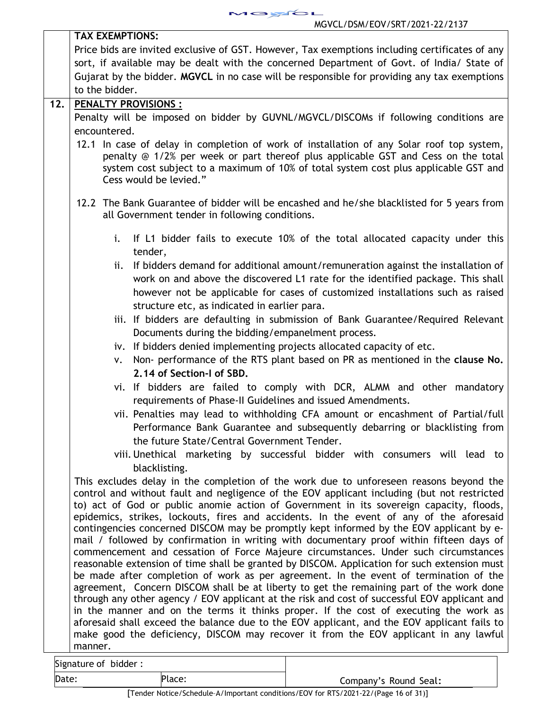

| to the bidder.<br>12.<br>PENALTY PROVISIONS :<br>Penalty will be imposed on bidder by GUVNL/MGVCL/DISCOMs if following conditions are<br>encountered.<br>Cess would be levied."<br>all Government tender in following conditions.<br>i.<br>tender,<br>ii.<br>structure etc, as indicated in earlier para.<br>Documents during the bidding/empanelment process.<br>iv. If bidders denied implementing projects allocated capacity of etc.<br>Non- performance of the RTS plant based on PR as mentioned in the clause No.<br>v.<br>2.14 of Section-I of SBD.<br>requirements of Phase-II Guidelines and issued Amendments.<br>the future State/Central Government Tender.<br>blacklisting.<br>This excludes delay in the completion of the work due to unforeseen reasons beyond the | <b>TAX EXEMPTIONS:</b>                                                                                                                                                                                                                                                                                                                                                                                                                                                                                                                                                                                                                                                                                                                                                                                                                                                                                                                                                                                                                         |
|-------------------------------------------------------------------------------------------------------------------------------------------------------------------------------------------------------------------------------------------------------------------------------------------------------------------------------------------------------------------------------------------------------------------------------------------------------------------------------------------------------------------------------------------------------------------------------------------------------------------------------------------------------------------------------------------------------------------------------------------------------------------------------------|------------------------------------------------------------------------------------------------------------------------------------------------------------------------------------------------------------------------------------------------------------------------------------------------------------------------------------------------------------------------------------------------------------------------------------------------------------------------------------------------------------------------------------------------------------------------------------------------------------------------------------------------------------------------------------------------------------------------------------------------------------------------------------------------------------------------------------------------------------------------------------------------------------------------------------------------------------------------------------------------------------------------------------------------|
|                                                                                                                                                                                                                                                                                                                                                                                                                                                                                                                                                                                                                                                                                                                                                                                     | Price bids are invited exclusive of GST. However, Tax exemptions including certificates of any                                                                                                                                                                                                                                                                                                                                                                                                                                                                                                                                                                                                                                                                                                                                                                                                                                                                                                                                                 |
|                                                                                                                                                                                                                                                                                                                                                                                                                                                                                                                                                                                                                                                                                                                                                                                     | sort, if available may be dealt with the concerned Department of Govt. of India/ State of                                                                                                                                                                                                                                                                                                                                                                                                                                                                                                                                                                                                                                                                                                                                                                                                                                                                                                                                                      |
|                                                                                                                                                                                                                                                                                                                                                                                                                                                                                                                                                                                                                                                                                                                                                                                     | Gujarat by the bidder. MGVCL in no case will be responsible for providing any tax exemptions                                                                                                                                                                                                                                                                                                                                                                                                                                                                                                                                                                                                                                                                                                                                                                                                                                                                                                                                                   |
|                                                                                                                                                                                                                                                                                                                                                                                                                                                                                                                                                                                                                                                                                                                                                                                     |                                                                                                                                                                                                                                                                                                                                                                                                                                                                                                                                                                                                                                                                                                                                                                                                                                                                                                                                                                                                                                                |
|                                                                                                                                                                                                                                                                                                                                                                                                                                                                                                                                                                                                                                                                                                                                                                                     |                                                                                                                                                                                                                                                                                                                                                                                                                                                                                                                                                                                                                                                                                                                                                                                                                                                                                                                                                                                                                                                |
|                                                                                                                                                                                                                                                                                                                                                                                                                                                                                                                                                                                                                                                                                                                                                                                     |                                                                                                                                                                                                                                                                                                                                                                                                                                                                                                                                                                                                                                                                                                                                                                                                                                                                                                                                                                                                                                                |
|                                                                                                                                                                                                                                                                                                                                                                                                                                                                                                                                                                                                                                                                                                                                                                                     |                                                                                                                                                                                                                                                                                                                                                                                                                                                                                                                                                                                                                                                                                                                                                                                                                                                                                                                                                                                                                                                |
|                                                                                                                                                                                                                                                                                                                                                                                                                                                                                                                                                                                                                                                                                                                                                                                     | 12.1 In case of delay in completion of work of installation of any Solar roof top system,<br>penalty @ 1/2% per week or part thereof plus applicable GST and Cess on the total<br>system cost subject to a maximum of 10% of total system cost plus applicable GST and                                                                                                                                                                                                                                                                                                                                                                                                                                                                                                                                                                                                                                                                                                                                                                         |
|                                                                                                                                                                                                                                                                                                                                                                                                                                                                                                                                                                                                                                                                                                                                                                                     | 12.2 The Bank Guarantee of bidder will be encashed and he/she blacklisted for 5 years from                                                                                                                                                                                                                                                                                                                                                                                                                                                                                                                                                                                                                                                                                                                                                                                                                                                                                                                                                     |
|                                                                                                                                                                                                                                                                                                                                                                                                                                                                                                                                                                                                                                                                                                                                                                                     | If L1 bidder fails to execute 10% of the total allocated capacity under this                                                                                                                                                                                                                                                                                                                                                                                                                                                                                                                                                                                                                                                                                                                                                                                                                                                                                                                                                                   |
|                                                                                                                                                                                                                                                                                                                                                                                                                                                                                                                                                                                                                                                                                                                                                                                     | If bidders demand for additional amount/remuneration against the installation of<br>work on and above the discovered L1 rate for the identified package. This shall<br>however not be applicable for cases of customized installations such as raised                                                                                                                                                                                                                                                                                                                                                                                                                                                                                                                                                                                                                                                                                                                                                                                          |
|                                                                                                                                                                                                                                                                                                                                                                                                                                                                                                                                                                                                                                                                                                                                                                                     | iii. If bidders are defaulting in submission of Bank Guarantee/Required Relevant                                                                                                                                                                                                                                                                                                                                                                                                                                                                                                                                                                                                                                                                                                                                                                                                                                                                                                                                                               |
|                                                                                                                                                                                                                                                                                                                                                                                                                                                                                                                                                                                                                                                                                                                                                                                     |                                                                                                                                                                                                                                                                                                                                                                                                                                                                                                                                                                                                                                                                                                                                                                                                                                                                                                                                                                                                                                                |
|                                                                                                                                                                                                                                                                                                                                                                                                                                                                                                                                                                                                                                                                                                                                                                                     |                                                                                                                                                                                                                                                                                                                                                                                                                                                                                                                                                                                                                                                                                                                                                                                                                                                                                                                                                                                                                                                |
|                                                                                                                                                                                                                                                                                                                                                                                                                                                                                                                                                                                                                                                                                                                                                                                     | vi. If bidders are failed to comply with DCR, ALMM and other mandatory                                                                                                                                                                                                                                                                                                                                                                                                                                                                                                                                                                                                                                                                                                                                                                                                                                                                                                                                                                         |
|                                                                                                                                                                                                                                                                                                                                                                                                                                                                                                                                                                                                                                                                                                                                                                                     | vii. Penalties may lead to withholding CFA amount or encashment of Partial/full<br>Performance Bank Guarantee and subsequently debarring or blacklisting from                                                                                                                                                                                                                                                                                                                                                                                                                                                                                                                                                                                                                                                                                                                                                                                                                                                                                  |
|                                                                                                                                                                                                                                                                                                                                                                                                                                                                                                                                                                                                                                                                                                                                                                                     | viii. Unethical marketing by successful bidder with consumers will lead to                                                                                                                                                                                                                                                                                                                                                                                                                                                                                                                                                                                                                                                                                                                                                                                                                                                                                                                                                                     |
|                                                                                                                                                                                                                                                                                                                                                                                                                                                                                                                                                                                                                                                                                                                                                                                     | control and without fault and negligence of the EOV applicant including (but not restricted<br>to) act of God or public anomie action of Government in its sovereign capacity, floods,<br>epidemics, strikes, lockouts, fires and accidents. In the event of any of the aforesaid<br>contingencies concerned DISCOM may be promptly kept informed by the EOV applicant by e-<br>mail / followed by confirmation in writing with documentary proof within fifteen days of<br>commencement and cessation of Force Majeure circumstances. Under such circumstances<br>reasonable extension of time shall be granted by DISCOM. Application for such extension must<br>be made after completion of work as per agreement. In the event of termination of the<br>agreement, Concern DISCOM shall be at liberty to get the remaining part of the work done<br>through any other agency / EOV applicant at the risk and cost of successful EOV applicant and<br>in the manner and on the terms it thinks proper. If the cost of executing the work as |
| manner.                                                                                                                                                                                                                                                                                                                                                                                                                                                                                                                                                                                                                                                                                                                                                                             | aforesaid shall exceed the balance due to the EOV applicant, and the EOV applicant fails to<br>make good the deficiency, DISCOM may recover it from the EOV applicant in any lawful                                                                                                                                                                                                                                                                                                                                                                                                                                                                                                                                                                                                                                                                                                                                                                                                                                                            |

Signature of bidder :

Date: Place: Place: Place: Place: Place: Company's Round Seal: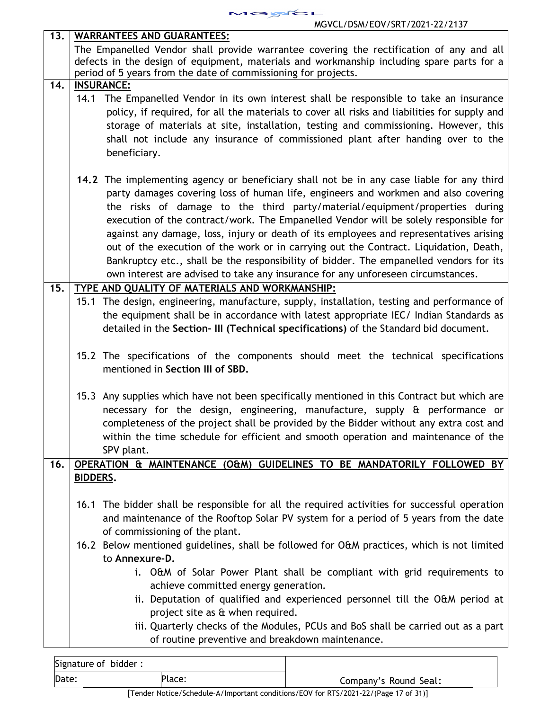

| 13. | <b>WARRANTEES AND GUARANTEES:</b>                                                             |  |  |  |
|-----|-----------------------------------------------------------------------------------------------|--|--|--|
|     | The Empanelled Vendor shall provide warrantee covering the rectification of any and all       |  |  |  |
|     | defects in the design of equipment, materials and workmanship including spare parts for a     |  |  |  |
|     | period of 5 years from the date of commissioning for projects.                                |  |  |  |
| 14. | <b>INSURANCE:</b>                                                                             |  |  |  |
|     | 14.1 The Empanelled Vendor in its own interest shall be responsible to take an insurance      |  |  |  |
|     | policy, if required, for all the materials to cover all risks and liabilities for supply and  |  |  |  |
|     | storage of materials at site, installation, testing and commissioning. However, this          |  |  |  |
|     | shall not include any insurance of commissioned plant after handing over to the               |  |  |  |
|     | beneficiary.                                                                                  |  |  |  |
|     |                                                                                               |  |  |  |
|     | 14.2 The implementing agency or beneficiary shall not be in any case liable for any third     |  |  |  |
|     |                                                                                               |  |  |  |
|     | party damages covering loss of human life, engineers and workmen and also covering            |  |  |  |
|     | the risks of damage to the third party/material/equipment/properties during                   |  |  |  |
|     | execution of the contract/work. The Empanelled Vendor will be solely responsible for          |  |  |  |
|     | against any damage, loss, injury or death of its employees and representatives arising        |  |  |  |
|     | out of the execution of the work or in carrying out the Contract. Liquidation, Death,         |  |  |  |
|     | Bankruptcy etc., shall be the responsibility of bidder. The empanelled vendors for its        |  |  |  |
|     | own interest are advised to take any insurance for any unforeseen circumstances.              |  |  |  |
| 15. | TYPE AND QUALITY OF MATERIALS AND WORKMANSHIP:                                                |  |  |  |
|     | 15.1 The design, engineering, manufacture, supply, installation, testing and performance of   |  |  |  |
|     | the equipment shall be in accordance with latest appropriate IEC/ Indian Standards as         |  |  |  |
|     | detailed in the Section- III (Technical specifications) of the Standard bid document.         |  |  |  |
|     |                                                                                               |  |  |  |
|     | 15.2 The specifications of the components should meet the technical specifications            |  |  |  |
|     | mentioned in Section III of SBD.                                                              |  |  |  |
|     |                                                                                               |  |  |  |
|     | 15.3 Any supplies which have not been specifically mentioned in this Contract but which are   |  |  |  |
|     | necessary for the design, engineering, manufacture, supply & performance or                   |  |  |  |
|     | completeness of the project shall be provided by the Bidder without any extra cost and        |  |  |  |
|     | within the time schedule for efficient and smooth operation and maintenance of the            |  |  |  |
|     | SPV plant.                                                                                    |  |  |  |
| 16. | OPERATION & MAINTENANCE (O&M) GUIDELINES TO BE MANDATORILY FOLLOWED BY                        |  |  |  |
|     |                                                                                               |  |  |  |
|     | <b>BIDDERS.</b>                                                                               |  |  |  |
|     |                                                                                               |  |  |  |
|     | 16.1 The bidder shall be responsible for all the required activities for successful operation |  |  |  |
|     | and maintenance of the Rooftop Solar PV system for a period of 5 years from the date          |  |  |  |
|     | of commissioning of the plant.                                                                |  |  |  |
|     | 16.2 Below mentioned guidelines, shall be followed for O&M practices, which is not limited    |  |  |  |
|     | to Annexure-D.                                                                                |  |  |  |
|     | i. O&M of Solar Power Plant shall be compliant with grid requirements to                      |  |  |  |
|     | achieve committed energy generation.                                                          |  |  |  |
|     | ii. Deputation of qualified and experienced personnel till the O&M period at                  |  |  |  |
|     | project site as & when required.                                                              |  |  |  |
|     | iii. Quarterly checks of the Modules, PCUs and BoS shall be carried out as a part             |  |  |  |
|     | of routine preventive and breakdown maintenance.                                              |  |  |  |
|     |                                                                                               |  |  |  |

| Signature of bidder: |          |                                                                                                                                                                                                                                                                                                                                                                                                                                                              |
|----------------------|----------|--------------------------------------------------------------------------------------------------------------------------------------------------------------------------------------------------------------------------------------------------------------------------------------------------------------------------------------------------------------------------------------------------------------------------------------------------------------|
| Date:                | Place:   | Company's Round Seal:                                                                                                                                                                                                                                                                                                                                                                                                                                        |
| г—                   | $\cdots$ | $\mathcal{L} = \mathcal{L} \mathcal{L} \mathcal{L} \mathcal{L} \mathcal{L} \mathcal{L} \mathcal{L} \mathcal{L} \mathcal{L} \mathcal{L} \mathcal{L} \mathcal{L} \mathcal{L} \mathcal{L} \mathcal{L} \mathcal{L} \mathcal{L} \mathcal{L} \mathcal{L} \mathcal{L} \mathcal{L} \mathcal{L} \mathcal{L} \mathcal{L} \mathcal{L} \mathcal{L} \mathcal{L} \mathcal{L} \mathcal{L} \mathcal{L} \mathcal{L} \mathcal{L} \mathcal{L} \mathcal{L} \mathcal{L} \mathcal$ |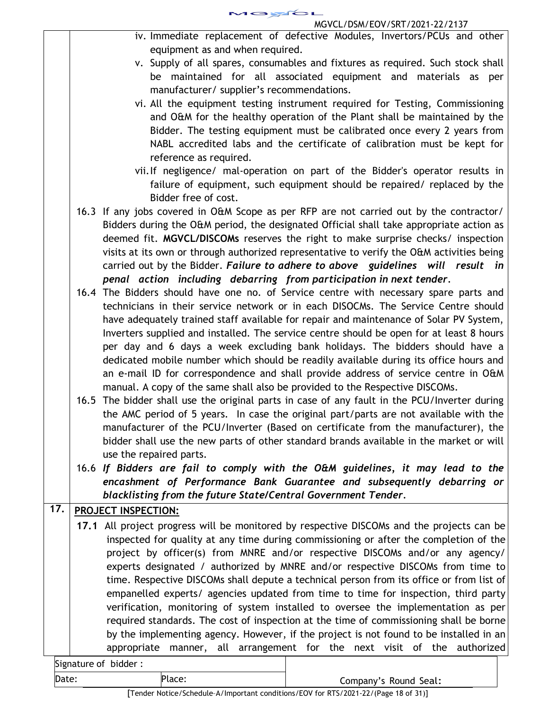MGYCL MGVCL/DSM/EOV/SRT/2021-22/2137

- iv. Immediate replacement of defective Modules, Invertors/PCUs and other equipment as and when required.
- v. Supply of all spares, consumables and fixtures as required. Such stock shall be maintained for all associated equipment and materials as per manufacturer/ supplier's recommendations.
- vi. All the equipment testing instrument required for Testing, Commissioning and O&M for the healthy operation of the Plant shall be maintained by the Bidder. The testing equipment must be calibrated once every 2 years from NABL accredited labs and the certificate of calibration must be kept for reference as required.
- vii.If negligence/ mal-operation on part of the Bidder's operator results in failure of equipment, such equipment should be repaired/ replaced by the Bidder free of cost.
- 16.3 If any jobs covered in O&M Scope as per RFP are not carried out by the contractor/ Bidders during the O&M period, the designated Official shall take appropriate action as deemed fit. **MGVCL/DISCOMs** reserves the right to make surprise checks/ inspection visits at its own or through authorized representative to verify the O&M activities being carried out by the Bidder. *Failure to adhere to above guidelines will result in penal action including debarring from participation in next tender.*
- 16.4 The Bidders should have one no. of Service centre with necessary spare parts and technicians in their service network or in each DISOCMs. The Service Centre should have adequately trained staff available for repair and maintenance of Solar PV System, Inverters supplied and installed. The service centre should be open for at least 8 hours per day and 6 days a week excluding bank holidays. The bidders should have a dedicated mobile number which should be readily available during its office hours and an e-mail ID for correspondence and shall provide address of service centre in O&M manual. A copy of the same shall also be provided to the Respective DISCOMs.
- 16.5 The bidder shall use the original parts in case of any fault in the PCU/Inverter during the AMC period of 5 years. In case the original part/parts are not available with the manufacturer of the PCU/Inverter (Based on certificate from the manufacturer), the bidder shall use the new parts of other standard brands available in the market or will use the repaired parts.
- 16.6 *If Bidders are fail to comply with the O&M guidelines, it may lead to the encashment of Performance Bank Guarantee and subsequently debarring or blacklisting from the future State/Central Government Tender.*

# **17. PROJECT INSPECTION:**

**17.1** All project progress will be monitored by respective DISCOMs and the projects can be inspected for quality at any time during commissioning or after the completion of the project by officer(s) from MNRE and/or respective DISCOMs and/or any agency/ experts designated / authorized by MNRE and/or respective DISCOMs from time to time. Respective DISCOMs shall depute a technical person from its office or from list of empanelled experts/ agencies updated from time to time for inspection, third party verification, monitoring of system installed to oversee the implementation as per required standards. The cost of inspection at the time of commissioning shall be borne by the implementing agency. However, if the project is not found to be installed in an appropriate manner, all arrangement for the next visit of the authorized

| Signature of bidder: |        |                       |
|----------------------|--------|-----------------------|
| Date:                | Place: | Company's Round Seal: |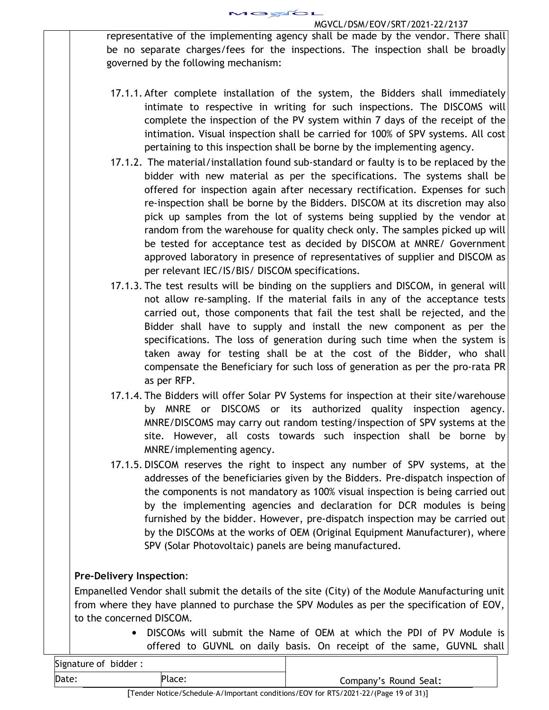representative of the implementing agency shall be made by the vendor. There shall be no separate charges/fees for the inspections. The inspection shall be broadly governed by the following mechanism:

- 17.1.1. After complete installation of the system, the Bidders shall immediately intimate to respective in writing for such inspections. The DISCOMS will complete the inspection of the PV system within 7 days of the receipt of the intimation. Visual inspection shall be carried for 100% of SPV systems. All cost pertaining to this inspection shall be borne by the implementing agency.
- 17.1.2. The material/installation found sub-standard or faulty is to be replaced by the bidder with new material as per the specifications. The systems shall be offered for inspection again after necessary rectification. Expenses for such re-inspection shall be borne by the Bidders. DISCOM at its discretion may also pick up samples from the lot of systems being supplied by the vendor at random from the warehouse for quality check only. The samples picked up will be tested for acceptance test as decided by DISCOM at MNRE/ Government approved laboratory in presence of representatives of supplier and DISCOM as per relevant IEC/IS/BIS/ DISCOM specifications.
- 17.1.3. The test results will be binding on the suppliers and DISCOM, in general will not allow re-sampling. If the material fails in any of the acceptance tests carried out, those components that fail the test shall be rejected, and the Bidder shall have to supply and install the new component as per the specifications. The loss of generation during such time when the system is taken away for testing shall be at the cost of the Bidder, who shall compensate the Beneficiary for such loss of generation as per the pro-rata PR as per RFP.
- 17.1.4. The Bidders will offer Solar PV Systems for inspection at their site/warehouse by MNRE or DISCOMS or its authorized quality inspection agency. MNRE/DISCOMS may carry out random testing/inspection of SPV systems at the site. However, all costs towards such inspection shall be borne by MNRE/implementing agency.
- 17.1.5. DISCOM reserves the right to inspect any number of SPV systems, at the addresses of the beneficiaries given by the Bidders. Pre-dispatch inspection of the components is not mandatory as 100% visual inspection is being carried out by the implementing agencies and declaration for DCR modules is being furnished by the bidder. However, pre-dispatch inspection may be carried out by the DISCOMs at the works of OEM (Original Equipment Manufacturer), where SPV (Solar Photovoltaic) panels are being manufactured.

# **Pre-Delivery Inspection**:

Empanelled Vendor shall submit the details of the site (City) of the Module Manufacturing unit from where they have planned to purchase the SPV Modules as per the specification of EOV, to the concerned DISCOM.

> • DISCOMs will submit the Name of OEM at which the PDI of PV Module is offered to GUVNL on daily basis. On receipt of the same, GUVNL shall

| Signature of bidder: |                                                                                                                 |                       |
|----------------------|-----------------------------------------------------------------------------------------------------------------|-----------------------|
| Date:                | Place:                                                                                                          | Company's Round Seal: |
|                      | 그는 그는 그만 아니라 아이들이 아니라 아이들이 아니라 아이들이 아니라 아이들이 아니라 아이들이 아니라 아이들이 아니라 아이들이 아니라 아이들이 아니라 아이들이 아니라 아이들이 아니라 아이들이 아니라 |                       |

[Tender Notice/Schedule–A/Important conditions/EOV for RTS/2021-22/(Page 19 of 31)]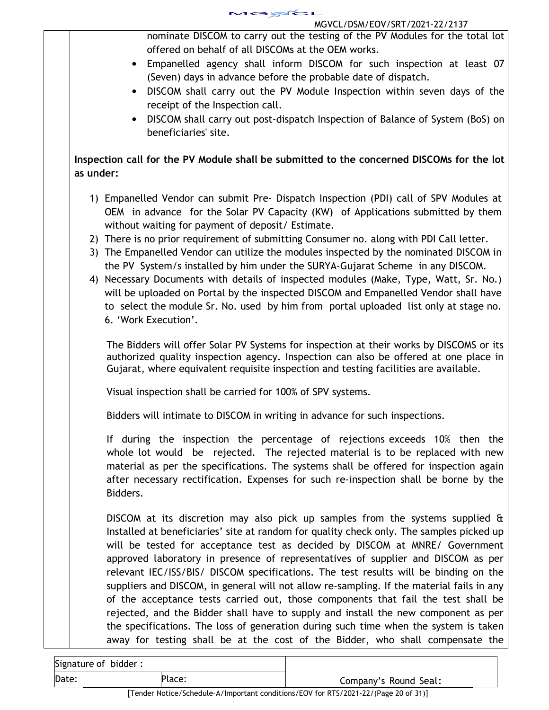

| MUVUL/DSM/EUV/SRT/ZUZT-ZZ/ZTS/                                                                                                                                                                                                                                                                                                                                                                                                                                                                                                                                                                                                |
|-------------------------------------------------------------------------------------------------------------------------------------------------------------------------------------------------------------------------------------------------------------------------------------------------------------------------------------------------------------------------------------------------------------------------------------------------------------------------------------------------------------------------------------------------------------------------------------------------------------------------------|
| nominate DISCOM to carry out the testing of the PV Modules for the total lot<br>offered on behalf of all DISCOMs at the OEM works.                                                                                                                                                                                                                                                                                                                                                                                                                                                                                            |
| • Empanelled agency shall inform DISCOM for such inspection at least 07                                                                                                                                                                                                                                                                                                                                                                                                                                                                                                                                                       |
| (Seven) days in advance before the probable date of dispatch.<br>• DISCOM shall carry out the PV Module Inspection within seven days of the                                                                                                                                                                                                                                                                                                                                                                                                                                                                                   |
| receipt of the Inspection call.                                                                                                                                                                                                                                                                                                                                                                                                                                                                                                                                                                                               |
| DISCOM shall carry out post-dispatch Inspection of Balance of System (BoS) on<br>$\bullet$<br>beneficiaries' site.                                                                                                                                                                                                                                                                                                                                                                                                                                                                                                            |
| Inspection call for the PV Module shall be submitted to the concerned DISCOMs for the lot<br>as under:                                                                                                                                                                                                                                                                                                                                                                                                                                                                                                                        |
| 1) Empanelled Vendor can submit Pre- Dispatch Inspection (PDI) call of SPV Modules at<br>OEM in advance for the Solar PV Capacity (KW) of Applications submitted by them                                                                                                                                                                                                                                                                                                                                                                                                                                                      |
| without waiting for payment of deposit/ Estimate.<br>2) There is no prior requirement of submitting Consumer no. along with PDI Call letter.                                                                                                                                                                                                                                                                                                                                                                                                                                                                                  |
| 3) The Empanelled Vendor can utilize the modules inspected by the nominated DISCOM in<br>the PV System/s installed by him under the SURYA-Gujarat Scheme in any DISCOM.                                                                                                                                                                                                                                                                                                                                                                                                                                                       |
| 4) Necessary Documents with details of inspected modules (Make, Type, Watt, Sr. No.)                                                                                                                                                                                                                                                                                                                                                                                                                                                                                                                                          |
| will be uploaded on Portal by the inspected DISCOM and Empanelled Vendor shall have<br>to select the module Sr. No. used by him from portal uploaded list only at stage no.                                                                                                                                                                                                                                                                                                                                                                                                                                                   |
| 6. 'Work Execution'.                                                                                                                                                                                                                                                                                                                                                                                                                                                                                                                                                                                                          |
| The Bidders will offer Solar PV Systems for inspection at their works by DISCOMS or its<br>authorized quality inspection agency. Inspection can also be offered at one place in<br>Gujarat, where equivalent requisite inspection and testing facilities are available.                                                                                                                                                                                                                                                                                                                                                       |
| Visual inspection shall be carried for 100% of SPV systems.                                                                                                                                                                                                                                                                                                                                                                                                                                                                                                                                                                   |
| Bidders will intimate to DISCOM in writing in advance for such inspections.                                                                                                                                                                                                                                                                                                                                                                                                                                                                                                                                                   |
| If during the inspection the percentage of rejections exceeds 10% then the<br>whole lot would be rejected. The rejected material is to be replaced with new<br>material as per the specifications. The systems shall be offered for inspection again<br>after necessary rectification. Expenses for such re-inspection shall be borne by the<br>Bidders.                                                                                                                                                                                                                                                                      |
| DISCOM at its discretion may also pick up samples from the systems supplied $\theta$<br>Installed at beneficiaries' site at random for quality check only. The samples picked up<br>will be tested for acceptance test as decided by DISCOM at MNRE/ Government<br>approved laboratory in presence of representatives of supplier and DISCOM as per<br>relevant IEC/ISS/BIS/ DISCOM specifications. The test results will be binding on the<br>suppliers and DISCOM, in general will not allow re-sampling. If the material fails in any<br>of the acceptance tests carried out, those components that fail the test shall be |
| rejected, and the Bidder shall have to supply and install the new component as per<br>the specifications. The loss of generation during such time when the system is taken<br>away for testing shall be at the cost of the Bidder, who shall compensate the                                                                                                                                                                                                                                                                                                                                                                   |

| Signature of bidder: |          |                       |
|----------------------|----------|-----------------------|
| Date:                | Place:   | Company's Round Seal: |
|                      | $-$<br>. | _ _ _ _ _ _           |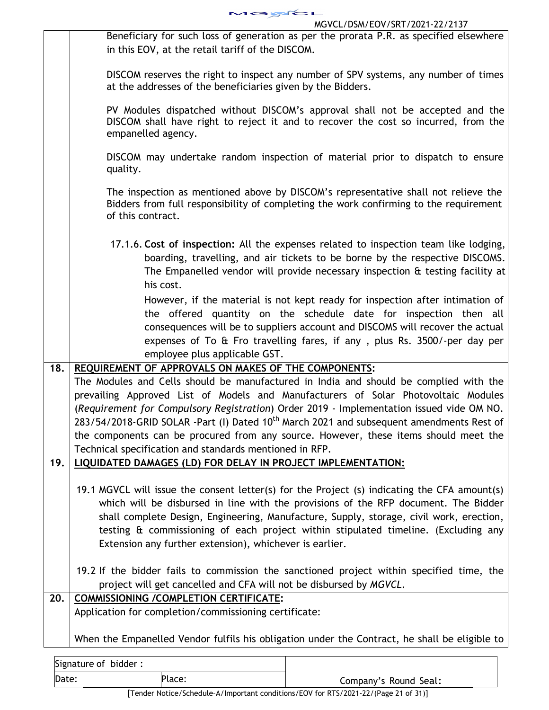|     | MGYCL                                                                                                                                                                                                                                                                                                                                                                                                                                                                                                                                                                                      |
|-----|--------------------------------------------------------------------------------------------------------------------------------------------------------------------------------------------------------------------------------------------------------------------------------------------------------------------------------------------------------------------------------------------------------------------------------------------------------------------------------------------------------------------------------------------------------------------------------------------|
|     | MGVCL/DSM/EOV/SRT/2021-22/2137                                                                                                                                                                                                                                                                                                                                                                                                                                                                                                                                                             |
|     | Beneficiary for such loss of generation as per the prorata P.R. as specified elsewhere<br>in this EOV, at the retail tariff of the DISCOM.                                                                                                                                                                                                                                                                                                                                                                                                                                                 |
|     | DISCOM reserves the right to inspect any number of SPV systems, any number of times<br>at the addresses of the beneficiaries given by the Bidders.                                                                                                                                                                                                                                                                                                                                                                                                                                         |
|     | PV Modules dispatched without DISCOM's approval shall not be accepted and the<br>DISCOM shall have right to reject it and to recover the cost so incurred, from the<br>empanelled agency.                                                                                                                                                                                                                                                                                                                                                                                                  |
|     | DISCOM may undertake random inspection of material prior to dispatch to ensure<br>quality.                                                                                                                                                                                                                                                                                                                                                                                                                                                                                                 |
|     | The inspection as mentioned above by DISCOM's representative shall not relieve the<br>Bidders from full responsibility of completing the work confirming to the requirement<br>of this contract.                                                                                                                                                                                                                                                                                                                                                                                           |
|     | 17.1.6. Cost of inspection: All the expenses related to inspection team like lodging,<br>boarding, travelling, and air tickets to be borne by the respective DISCOMS.<br>The Empanelled vendor will provide necessary inspection & testing facility at<br>his cost.                                                                                                                                                                                                                                                                                                                        |
|     | However, if the material is not kept ready for inspection after intimation of<br>the offered quantity on the schedule date for inspection then all<br>consequences will be to suppliers account and DISCOMS will recover the actual<br>expenses of To & Fro travelling fares, if any, plus Rs. 3500/-per day per<br>employee plus applicable GST.                                                                                                                                                                                                                                          |
| 18. | REQUIREMENT OF APPROVALS ON MAKES OF THE COMPONENTS:<br>The Modules and Cells should be manufactured in India and should be complied with the<br>prevailing Approved List of Models and Manufacturers of Solar Photovoltaic Modules<br>(Requirement for Compulsory Registration) Order 2019 - Implementation issued vide OM NO.<br>283/54/2018-GRID SOLAR -Part (I) Dated 10 <sup>th</sup> March 2021 and subsequent amendments Rest of<br>the components can be procured from any source. However, these items should meet the<br>Technical specification and standards mentioned in RFP. |
| 19. | LIQUIDATED DAMAGES (LD) FOR DELAY IN PROJECT IMPLEMENTATION:                                                                                                                                                                                                                                                                                                                                                                                                                                                                                                                               |
|     | 19.1 MGVCL will issue the consent letter(s) for the Project (s) indicating the CFA amount(s)<br>which will be disbursed in line with the provisions of the RFP document. The Bidder<br>shall complete Design, Engineering, Manufacture, Supply, storage, civil work, erection,<br>testing & commissioning of each project within stipulated timeline. (Excluding any<br>Extension any further extension), whichever is earlier.                                                                                                                                                            |
|     | 19.2 If the bidder fails to commission the sanctioned project within specified time, the<br>project will get cancelled and CFA will not be disbursed by MGVCL.                                                                                                                                                                                                                                                                                                                                                                                                                             |
| 20. | <b>COMMISSIONING / COMPLETION CERTIFICATE:</b><br>Application for completion/commissioning certificate:                                                                                                                                                                                                                                                                                                                                                                                                                                                                                    |
|     | When the Empanelled Vendor fulfils his obligation under the Contract, he shall be eligible to                                                                                                                                                                                                                                                                                                                                                                                                                                                                                              |

| Signature of bidder: |        |                       |
|----------------------|--------|-----------------------|
| Date:                | Place: | Company's Round Seal: |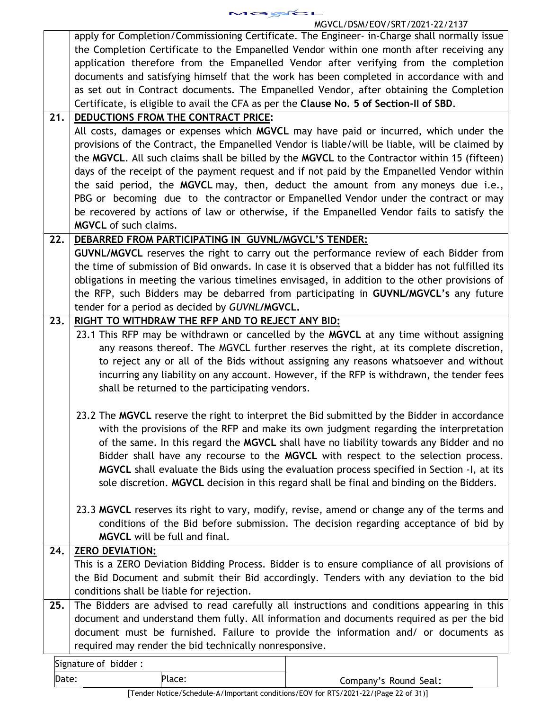apply for Completion/Commissioning Certificate. The Engineer- in-Charge shall normally issue the Completion Certificate to the Empanelled Vendor within one month after receiving any application therefore from the Empanelled Vendor after verifying from the completion documents and satisfying himself that the work has been completed in accordance with and as set out in Contract documents. The Empanelled Vendor, after obtaining the Completion Certificate, is eligible to avail the CFA as per the **Clause No. 5 of Section-II of SBD**. **21. DEDUCTIONS FROM THE CONTRACT PRICE:** All costs, damages or expenses which **MGVCL** may have paid or incurred, which under the provisions of the Contract, the Empanelled Vendor is liable/will be liable, will be claimed by the **MGVCL**. All such claims shall be billed by the **MGVCL** to the Contractor within 15 (fifteen) days of the receipt of the payment request and if not paid by the Empanelled Vendor within the said period, the **MGVCL** may, then, deduct the amount from any moneys due i.e., PBG or becoming due to the contractor or Empanelled Vendor under the contract or may be recovered by actions of law or otherwise, if the Empanelled Vendor fails to satisfy the **MGVCL** of such claims. **22. DEBARRED FROM PARTICIPATING IN GUVNL/MGVCL'S TENDER: GUVNL/MGVCL** reserves the right to carry out the performance review of each Bidder from the time of submission of Bid onwards. In case it is observed that a bidder has not fulfilled its obligations in meeting the various timelines envisaged, in addition to the other provisions of the RFP, such Bidders may be debarred from participating in **GUVNL/MGVCL's** any future tender for a period as decided by *GUVNL***/MGVCL. 23. RIGHT TO WITHDRAW THE RFP AND TO REJECT ANY BID:** 23.1 This RFP may be withdrawn or cancelled by the **MGVCL** at any time without assigning any reasons thereof. The MGVCL further reserves the right, at its complete discretion, to reject any or all of the Bids without assigning any reasons whatsoever and without incurring any liability on any account. However, if the RFP is withdrawn, the tender fees shall be returned to the participating vendors. 23.2 The **MGVCL** reserve the right to interpret the Bid submitted by the Bidder in accordance with the provisions of the RFP and make its own judgment regarding the interpretation of the same. In this regard the **MGVCL** shall have no liability towards any Bidder and no

Bidder shall have any recourse to the **MGVCL** with respect to the selection process. **MGVCL** shall evaluate the Bids using the evaluation process specified in Section -I, at its sole discretion. **MGVCL** decision in this regard shall be final and binding on the Bidders.

23.3 **MGVCL** reserves its right to vary, modify, revise, amend or change any of the terms and conditions of the Bid before submission. The decision regarding acceptance of bid by **MGVCL** will be full and final.

Signature of bidder : Date: Place: Place: Place: Place: Place: Place: Place: Company's Round Seal: **24. ZERO DEVIATION:** This is a ZERO Deviation Bidding Process. Bidder is to ensure compliance of all provisions of the Bid Document and submit their Bid accordingly. Tenders with any deviation to the bid conditions shall be liable for rejection. **25.** The Bidders are advised to read carefully all instructions and conditions appearing in this document and understand them fully. All information and documents required as per the bid document must be furnished. Failure to provide the information and/ or documents as required may render the bid technically nonresponsive.

[Tender Notice/Schedule–A/Important conditions/EOV for RTS/2021-22/(Page 22 of 31)]

| $\sim$<br>. . |
|---------------|
|---------------|

# MGVCL/DSM/EOV/SRT/2021-22/2137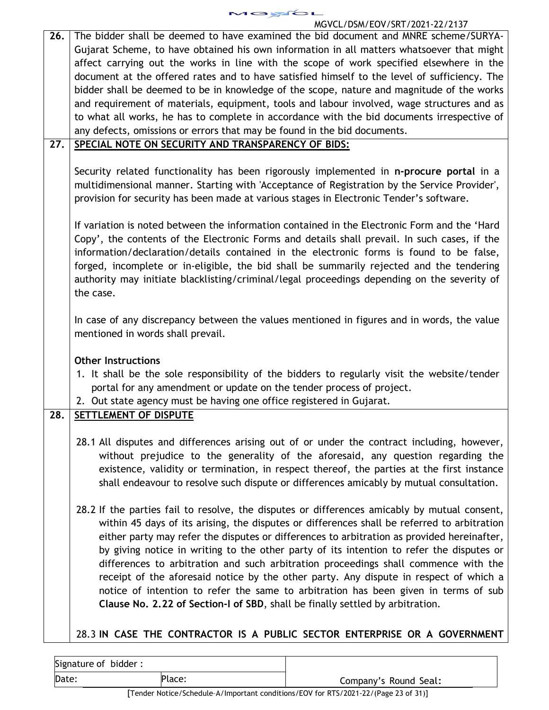|     | MGVCL/DSM/EOV/SRT/2021-22/2137                                                               |
|-----|----------------------------------------------------------------------------------------------|
| 26. | The bidder shall be deemed to have examined the bid document and MNRE scheme/SURYA-          |
|     | Gujarat Scheme, to have obtained his own information in all matters whatsoever that might    |
|     | affect carrying out the works in line with the scope of work specified elsewhere in the      |
|     | document at the offered rates and to have satisfied himself to the level of sufficiency. The |
|     | bidder shall be deemed to be in knowledge of the scope, nature and magnitude of the works    |
|     | and requirement of materials, equipment, tools and labour involved, wage structures and as   |
|     | to what all works, he has to complete in accordance with the bid documents irrespective of   |
|     | any defects, omissions or errors that may be found in the bid documents.                     |
| 27. | SPECIAL NOTE ON SECURITY AND TRANSPARENCY OF BIDS:                                           |
|     |                                                                                              |
|     | Security related functionality has been rigorously implemented in n-procure portal in a      |
|     | multidimensional manner. Starting with 'Acceptance of Registration by the Service Provider', |
|     | provision for security has been made at various stages in Electronic Tender's software.      |
|     |                                                                                              |
|     | If variation is noted between the information contained in the Electronic Form and the 'Hard |
|     | Copy', the contents of the Electronic Forms and details shall prevail. In such cases, if the |
|     | information/declaration/details contained in the electronic forms is found to be false,      |
|     | forged, incomplete or in-eligible, the bid shall be summarily rejected and the tendering     |
|     | authority may initiate blacklisting/criminal/legal proceedings depending on the severity of  |
|     | the case.                                                                                    |
|     |                                                                                              |
|     | In case of any discrepancy between the values mentioned in figures and in words, the value   |
|     | mentioned in words shall prevail.                                                            |
|     |                                                                                              |
|     | <b>Other Instructions</b>                                                                    |
|     | 1. It shall be the sole responsibility of the bidders to regularly visit the website/tender  |
|     | portal for any amendment or update on the tender process of project.                         |
|     | 2. Out state agency must be having one office registered in Gujarat.                         |
| 28. | SETTLEMENT OF DISPUTE                                                                        |
|     |                                                                                              |
|     | 28.1 All disputes and differences arising out of or under the contract including, however,   |
|     | without prejudice to the generality of the aforesaid, any question regarding the             |
|     | existence, validity or termination, in respect thereof, the parties at the first instance    |
|     | shall endeavour to resolve such dispute or differences amicably by mutual consultation.      |
|     |                                                                                              |
|     | 28.2 If the parties fail to resolve, the disputes or differences amicably by mutual consent, |
|     | within 45 days of its arising, the disputes or differences shall be referred to arbitration  |
|     | either party may refer the disputes or differences to arbitration as provided hereinafter,   |
|     | by giving notice in writing to the other party of its intention to refer the disputes or     |
|     | differences to arbitration and such arbitration proceedings shall commence with the          |
|     |                                                                                              |
|     | receipt of the aforesaid notice by the other party. Any dispute in respect of which a        |
|     | notice of intention to refer the same to arbitration has been given in terms of sub          |
|     | Clause No. 2.22 of Section-I of SBD, shall be finally settled by arbitration.                |
|     |                                                                                              |
|     | 28.3 IN CASE THE CONTRACTOR IS A PUBLIC SECTOR ENTERPRISE OR A GOVERNMENT                    |

MGYCL

| Signature of bidder: |        |                       |
|----------------------|--------|-----------------------|
| Date:                | Place: | Company's Round Seal: |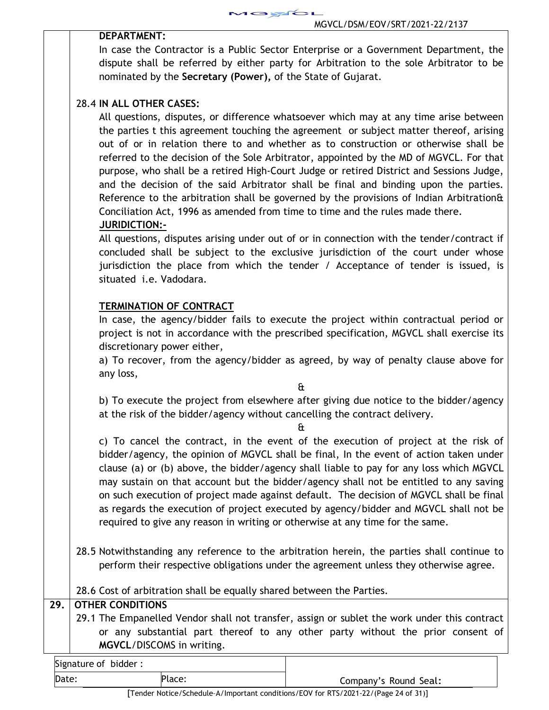

## **DEPARTMENT:**

In case the Contractor is a Public Sector Enterprise or a Government Department, the dispute shall be referred by either party for Arbitration to the sole Arbitrator to be nominated by the **Secretary (Power),** of the State of Gujarat.

# 28.4 **IN ALL OTHER CASES:**

All questions, disputes, or difference whatsoever which may at any time arise between the parties t this agreement touching the agreement or subject matter thereof, arising out of or in relation there to and whether as to construction or otherwise shall be referred to the decision of the Sole Arbitrator, appointed by the MD of MGVCL. For that purpose, who shall be a retired High-Court Judge or retired District and Sessions Judge, and the decision of the said Arbitrator shall be final and binding upon the parties. Reference to the arbitration shall be governed by the provisions of Indian Arbitration& Conciliation Act, 1996 as amended from time to time and the rules made there.  **JURIDICTION:-**

All questions, disputes arising under out of or in connection with the tender/contract if concluded shall be subject to the exclusive jurisdiction of the court under whose jurisdiction the place from which the tender / Acceptance of tender is issued, is situated i.e. Vadodara.

## **TERMINATION OF CONTRACT**

In case, the agency/bidder fails to execute the project within contractual period or project is not in accordance with the prescribed specification, MGVCL shall exercise its discretionary power either,

a) To recover, from the agency/bidder as agreed, by way of penalty clause above for any loss,

&

b) To execute the project from elsewhere after giving due notice to the bidder/agency at the risk of the bidder/agency without cancelling the contract delivery.

&

c) To cancel the contract, in the event of the execution of project at the risk of bidder/agency, the opinion of MGVCL shall be final, In the event of action taken under clause (a) or (b) above, the bidder/agency shall liable to pay for any loss which MGVCL may sustain on that account but the bidder/agency shall not be entitled to any saving on such execution of project made against default. The decision of MGVCL shall be final as regards the execution of project executed by agency/bidder and MGVCL shall not be required to give any reason in writing or otherwise at any time for the same.

28.5 Notwithstanding any reference to the arbitration herein, the parties shall continue to perform their respective obligations under the agreement unless they otherwise agree.

28.6 Cost of arbitration shall be equally shared between the Parties.

# **29. OTHER CONDITIONS**

29.1 The Empanelled Vendor shall not transfer, assign or sublet the work under this contract or any substantial part thereof to any other party without the prior consent of **MGVCL**/DISCOMS in writing.

| Signature of bidder: |                       |
|----------------------|-----------------------|
| Date:<br>Place:      | Company's Round Seal: |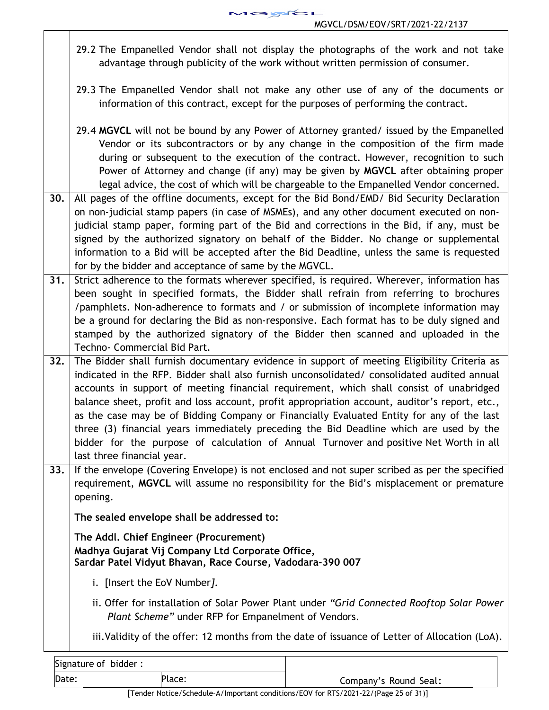**AGYCL** MGVCL/DSM/EOV/SRT/2021-22/2137

- 29.2 The Empanelled Vendor shall not display the photographs of the work and not take advantage through publicity of the work without written permission of consumer.
- 29.3 The Empanelled Vendor shall not make any other use of any of the documents or information of this contract, except for the purposes of performing the contract.
- 29.4 **MGVCL** will not be bound by any Power of Attorney granted/ issued by the Empanelled Vendor or its subcontractors or by any change in the composition of the firm made during or subsequent to the execution of the contract. However, recognition to such Power of Attorney and change (if any) may be given by **MGVCL** after obtaining proper legal advice, the cost of which will be chargeable to the Empanelled Vendor concerned.
- **30.** All pages of the offline documents, except for the Bid Bond/EMD/ Bid Security Declaration on non-judicial stamp papers (in case of MSMEs), and any other document executed on nonjudicial stamp paper, forming part of the Bid and corrections in the Bid, if any, must be signed by the authorized signatory on behalf of the Bidder. No change or supplemental information to a Bid will be accepted after the Bid Deadline, unless the same is requested for by the bidder and acceptance of same by the MGVCL.
- **31.** Strict adherence to the formats wherever specified, is required. Wherever, information has been sought in specified formats, the Bidder shall refrain from referring to brochures /pamphlets. Non-adherence to formats and / or submission of incomplete information may be a ground for declaring the Bid as non-responsive. Each format has to be duly signed and stamped by the authorized signatory of the Bidder then scanned and uploaded in the Techno- Commercial Bid Part.
- **32.** The Bidder shall furnish documentary evidence in support of meeting Eligibility Criteria as indicated in the RFP. Bidder shall also furnish unconsolidated/ consolidated audited annual accounts in support of meeting financial requirement, which shall consist of unabridged balance sheet, profit and loss account, profit appropriation account, auditor's report, etc., as the case may be of Bidding Company or Financially Evaluated Entity for any of the last three (3) financial years immediately preceding the Bid Deadline which are used by the bidder for the purpose of calculation of Annual Turnover and positive Net Worth in all last three financial year.
- **33.** If the envelope (Covering Envelope) is not enclosed and not super scribed as per the specified requirement, **MGVCL** will assume no responsibility for the Bid's misplacement or premature opening.

**The sealed envelope shall be addressed to:** 

**The Addl. Chief Engineer (Procurement) Madhya Gujarat Vij Company Ltd Corporate Office, Sardar Patel Vidyut Bhavan, Race Course, Vadodara-390 007** 

- i. [Insert the EoV Number*]*.
- ii. Offer for installation of Solar Power Plant under *"Grid Connected Rooftop Solar Power Plant Scheme"* under RFP for Empanelment of Vendors.

iii.Validity of the offer: 12 months from the date of issuance of Letter of Allocation (LoA).

| Signature of bidder: |                                                                                        |                       |
|----------------------|----------------------------------------------------------------------------------------|-----------------------|
| Date:                | Place:                                                                                 | Company's Round Seal: |
|                      | <b>一</b> 个人的人,我们也不能在这个人的人,我们也不能在这个人的人,我们也不能在这个人的人,我们也不能在这个人的人,我们也不能在这个人的人,我们也不能在这个人的人, |                       |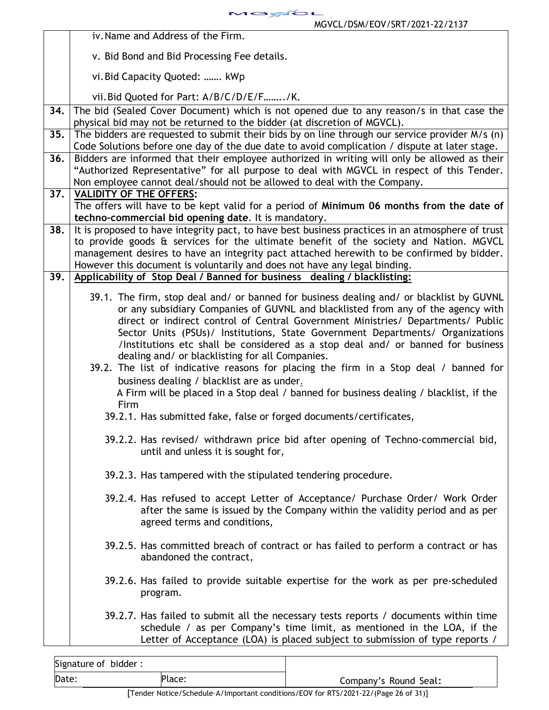MOYCL MGVCL/DSM/EOV/SRT/2021-22/2137

|     | iv. Name and Address of the Firm.                                                                                                                                                                                                                                                                                                                                                                                                                                                                                                                                                                                                                                                                                                                                                                                                                                                             |  |  |
|-----|-----------------------------------------------------------------------------------------------------------------------------------------------------------------------------------------------------------------------------------------------------------------------------------------------------------------------------------------------------------------------------------------------------------------------------------------------------------------------------------------------------------------------------------------------------------------------------------------------------------------------------------------------------------------------------------------------------------------------------------------------------------------------------------------------------------------------------------------------------------------------------------------------|--|--|
|     | v. Bid Bond and Bid Processing Fee details.                                                                                                                                                                                                                                                                                                                                                                                                                                                                                                                                                                                                                                                                                                                                                                                                                                                   |  |  |
|     | vi. Bid Capacity Quoted:  kWp                                                                                                                                                                                                                                                                                                                                                                                                                                                                                                                                                                                                                                                                                                                                                                                                                                                                 |  |  |
|     | vii. Bid Quoted for Part: A/B/C/D/E/F/K.                                                                                                                                                                                                                                                                                                                                                                                                                                                                                                                                                                                                                                                                                                                                                                                                                                                      |  |  |
| 34. | The bid (Sealed Cover Document) which is not opened due to any reason/s in that case the<br>physical bid may not be returned to the bidder (at discretion of MGVCL).                                                                                                                                                                                                                                                                                                                                                                                                                                                                                                                                                                                                                                                                                                                          |  |  |
| 35. | The bidders are requested to submit their bids by on line through our service provider M/s (n)                                                                                                                                                                                                                                                                                                                                                                                                                                                                                                                                                                                                                                                                                                                                                                                                |  |  |
|     | Code Solutions before one day of the due date to avoid complication / dispute at later stage.                                                                                                                                                                                                                                                                                                                                                                                                                                                                                                                                                                                                                                                                                                                                                                                                 |  |  |
| 36. | Bidders are informed that their employee authorized in writing will only be allowed as their                                                                                                                                                                                                                                                                                                                                                                                                                                                                                                                                                                                                                                                                                                                                                                                                  |  |  |
|     | "Authorized Representative" for all purpose to deal with MGVCL in respect of this Tender.                                                                                                                                                                                                                                                                                                                                                                                                                                                                                                                                                                                                                                                                                                                                                                                                     |  |  |
| 37. | Non employee cannot deal/should not be allowed to deal with the Company.<br><b>VALIDITY OF THE OFFERS:</b>                                                                                                                                                                                                                                                                                                                                                                                                                                                                                                                                                                                                                                                                                                                                                                                    |  |  |
|     | The offers will have to be kept valid for a period of Minimum 06 months from the date of                                                                                                                                                                                                                                                                                                                                                                                                                                                                                                                                                                                                                                                                                                                                                                                                      |  |  |
|     | techno-commercial bid opening date. It is mandatory.                                                                                                                                                                                                                                                                                                                                                                                                                                                                                                                                                                                                                                                                                                                                                                                                                                          |  |  |
| 38. | It is proposed to have integrity pact, to have best business practices in an atmosphere of trust<br>to provide goods & services for the ultimate benefit of the society and Nation. MGVCL<br>management desires to have an integrity pact attached herewith to be confirmed by bidder.<br>However this document is voluntarily and does not have any legal binding.                                                                                                                                                                                                                                                                                                                                                                                                                                                                                                                           |  |  |
| 39. | Applicability of Stop Deal / Banned for business dealing / blacklisting:                                                                                                                                                                                                                                                                                                                                                                                                                                                                                                                                                                                                                                                                                                                                                                                                                      |  |  |
|     | 39.1. The firm, stop deal and/ or banned for business dealing and/ or blacklist by GUVNL<br>or any subsidiary Companies of GUVNL and blacklisted from any of the agency with<br>direct or indirect control of Central Government Ministries/ Departments/ Public<br>Sector Units (PSUs)/ Institutions, State Government Departments/ Organizations<br>/Institutions etc shall be considered as a stop deal and/ or banned for business<br>dealing and/ or blacklisting for all Companies.<br>39.2. The list of indicative reasons for placing the firm in a Stop deal / banned for<br>business dealing / blacklist are as under.<br>A Firm will be placed in a Stop deal / banned for business dealing / blacklist, if the<br>Firm<br>39.2.1. Has submitted fake, false or forged documents/certificates,<br>39.2.2. Has revised/ withdrawn price bid after opening of Techno-commercial bid, |  |  |
|     | until and unless it is sought for,<br>39.2.3. Has tampered with the stipulated tendering procedure.                                                                                                                                                                                                                                                                                                                                                                                                                                                                                                                                                                                                                                                                                                                                                                                           |  |  |
|     |                                                                                                                                                                                                                                                                                                                                                                                                                                                                                                                                                                                                                                                                                                                                                                                                                                                                                               |  |  |
|     | 39.2.4. Has refused to accept Letter of Acceptance/ Purchase Order/ Work Order<br>after the same is issued by the Company within the validity period and as per<br>agreed terms and conditions,                                                                                                                                                                                                                                                                                                                                                                                                                                                                                                                                                                                                                                                                                               |  |  |
|     | 39.2.5. Has committed breach of contract or has failed to perform a contract or has<br>abandoned the contract,                                                                                                                                                                                                                                                                                                                                                                                                                                                                                                                                                                                                                                                                                                                                                                                |  |  |
|     | 39.2.6. Has failed to provide suitable expertise for the work as per pre-scheduled<br>program.                                                                                                                                                                                                                                                                                                                                                                                                                                                                                                                                                                                                                                                                                                                                                                                                |  |  |
|     | 39.2.7. Has failed to submit all the necessary tests reports / documents within time<br>schedule / as per Company's time limit, as mentioned in the LOA, if the<br>Letter of Acceptance (LOA) is placed subject to submission of type reports /                                                                                                                                                                                                                                                                                                                                                                                                                                                                                                                                                                                                                                               |  |  |

| Signature of bidder: |        |                       |
|----------------------|--------|-----------------------|
| Date:                | Place: | Company's Round Seal: |
|                      |        |                       |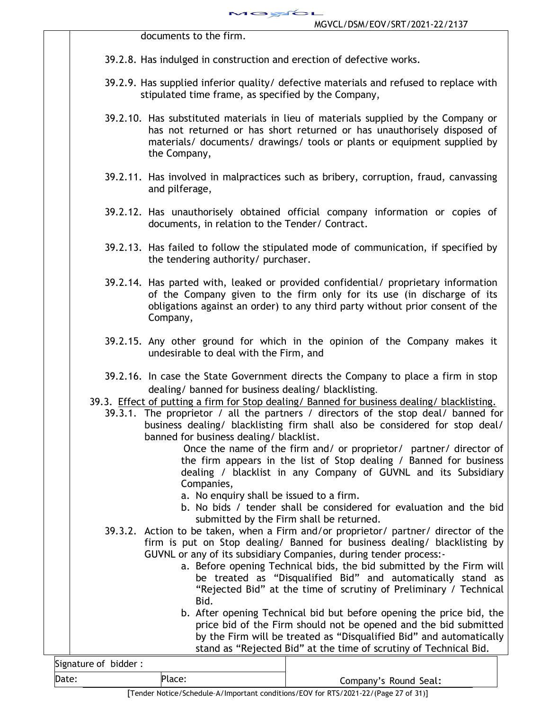documents to the firm.

39.2.8. Has indulged in construction and erection of defective works.

JGYCL

- 39.2.9. Has supplied inferior quality/ defective materials and refused to replace with stipulated time frame, as specified by the Company,
- 39.2.10. Has substituted materials in lieu of materials supplied by the Company or has not returned or has short returned or has unauthorisely disposed of materials/ documents/ drawings/ tools or plants or equipment supplied by the Company,
- 39.2.11. Has involved in malpractices such as bribery, corruption, fraud, canvassing and pilferage,
- 39.2.12. Has unauthorisely obtained official company information or copies of documents, in relation to the Tender/ Contract.
- 39.2.13. Has failed to follow the stipulated mode of communication, if specified by the tendering authority/ purchaser.
- 39.2.14. Has parted with, leaked or provided confidential/ proprietary information of the Company given to the firm only for its use (in discharge of its obligations against an order) to any third party without prior consent of the Company,
- 39.2.15. Any other ground for which in the opinion of the Company makes it undesirable to deal with the Firm, and
- 39.2.16. In case the State Government directs the Company to place a firm in stop dealing/ banned for business dealing/ blacklisting.
- 39.3. Effect of putting a firm for Stop dealing/ Banned for business dealing/ blacklisting.
	- 39.3.1. The proprietor / all the partners / directors of the stop deal/ banned for business dealing/ blacklisting firm shall also be considered for stop deal/ banned for business dealing/ blacklist.

 Once the name of the firm and/ or proprietor/ partner/ director of the firm appears in the list of Stop dealing / Banned for business dealing / blacklist in any Company of GUVNL and its Subsidiary Companies,

- a. No enquiry shall be issued to a firm.
- b. No bids / tender shall be considered for evaluation and the bid submitted by the Firm shall be returned.
- 39.3.2. Action to be taken, when a Firm and/or proprietor/ partner/ director of the firm is put on Stop dealing/ Banned for business dealing/ blacklisting by GUVNL or any of its subsidiary Companies, during tender process:
	- a. Before opening Technical bids, the bid submitted by the Firm will be treated as "Disqualified Bid" and automatically stand as "Rejected Bid" at the time of scrutiny of Preliminary / Technical Bid.
	- b. After opening Technical bid but before opening the price bid, the price bid of the Firm should not be opened and the bid submitted by the Firm will be treated as "Disqualified Bid" and automatically stand as "Rejected Bid" at the time of scrutiny of Technical Bid.

| Signature of bidder: |        |                       |
|----------------------|--------|-----------------------|
| Date:                | Place: | Company's Round Seal: |
|                      | $-$    | _ _ _ _ _ _           |

[Tender Notice/Schedule–A/Important conditions/EOV for RTS/2021-22/(Page 27 of 31)]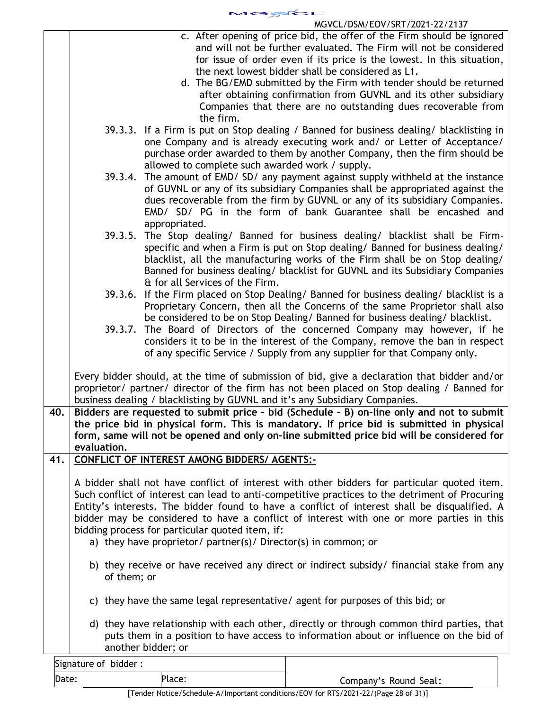MOYOL MGVCL/DSM/EOV/SRT/2021-22/2137

|     |                                                                                                                                                                                                                                                                                                                                                                                                                                                                                                                | c. After opening of price bid, the offer of the Firm should be ignored<br>and will not be further evaluated. The Firm will not be considered<br>for issue of order even if its price is the lowest. In this situation,<br>the next lowest bidder shall be considered as L1.<br>d. The BG/EMD submitted by the Firm with tender should be returned<br>after obtaining confirmation from GUVNL and its other subsidiary<br>Companies that there are no outstanding dues recoverable from<br>the firm. |  |  |
|-----|----------------------------------------------------------------------------------------------------------------------------------------------------------------------------------------------------------------------------------------------------------------------------------------------------------------------------------------------------------------------------------------------------------------------------------------------------------------------------------------------------------------|-----------------------------------------------------------------------------------------------------------------------------------------------------------------------------------------------------------------------------------------------------------------------------------------------------------------------------------------------------------------------------------------------------------------------------------------------------------------------------------------------------|--|--|
|     |                                                                                                                                                                                                                                                                                                                                                                                                                                                                                                                | 39.3.3. If a Firm is put on Stop dealing / Banned for business dealing/ blacklisting in<br>one Company and is already executing work and/ or Letter of Acceptance/<br>purchase order awarded to them by another Company, then the firm should be<br>allowed to complete such awarded work / supply.                                                                                                                                                                                                 |  |  |
|     | 39.3.4.                                                                                                                                                                                                                                                                                                                                                                                                                                                                                                        | The amount of EMD/SD/ any payment against supply withheld at the instance<br>of GUVNL or any of its subsidiary Companies shall be appropriated against the<br>dues recoverable from the firm by GUVNL or any of its subsidiary Companies.<br>EMD/ SD/ PG in the form of bank Guarantee shall be encashed and<br>appropriated.                                                                                                                                                                       |  |  |
|     | 39.3.5.                                                                                                                                                                                                                                                                                                                                                                                                                                                                                                        | The Stop dealing/ Banned for business dealing/ blacklist shall be Firm-<br>specific and when a Firm is put on Stop dealing/ Banned for business dealing/<br>blacklist, all the manufacturing works of the Firm shall be on Stop dealing/<br>Banned for business dealing/ blacklist for GUVNL and its Subsidiary Companies<br>& for all Services of the Firm.                                                                                                                                        |  |  |
|     |                                                                                                                                                                                                                                                                                                                                                                                                                                                                                                                | 39.3.6. If the Firm placed on Stop Dealing/ Banned for business dealing/ blacklist is a<br>Proprietary Concern, then all the Concerns of the same Proprietor shall also<br>be considered to be on Stop Dealing/ Banned for business dealing/ blacklist.                                                                                                                                                                                                                                             |  |  |
|     | 39.3.7.                                                                                                                                                                                                                                                                                                                                                                                                                                                                                                        | The Board of Directors of the concerned Company may however, if he<br>considers it to be in the interest of the Company, remove the ban in respect<br>of any specific Service / Supply from any supplier for that Company only.                                                                                                                                                                                                                                                                     |  |  |
|     |                                                                                                                                                                                                                                                                                                                                                                                                                                                                                                                | Every bidder should, at the time of submission of bid, give a declaration that bidder and/or<br>proprietor/ partner/ director of the firm has not been placed on Stop dealing / Banned for<br>business dealing / blacklisting by GUVNL and it's any Subsidiary Companies.                                                                                                                                                                                                                           |  |  |
| 40. | Bidders are requested to submit price - bid (Schedule - B) on-line only and not to submit<br>the price bid in physical form. This is mandatory. If price bid is submitted in physical<br>form, same will not be opened and only on-line submitted price bid will be considered for<br>evaluation.                                                                                                                                                                                                              |                                                                                                                                                                                                                                                                                                                                                                                                                                                                                                     |  |  |
| 41. |                                                                                                                                                                                                                                                                                                                                                                                                                                                                                                                | CONFLICT OF INTEREST AMONG BIDDERS/ AGENTS:-                                                                                                                                                                                                                                                                                                                                                                                                                                                        |  |  |
|     | A bidder shall not have conflict of interest with other bidders for particular quoted item.<br>Such conflict of interest can lead to anti-competitive practices to the detriment of Procuring<br>Entity's interests. The bidder found to have a conflict of interest shall be disqualified. A<br>bidder may be considered to have a conflict of interest with one or more parties in this<br>bidding process for particular quoted item, if:<br>a) they have proprietor/ partner(s)/ Director(s) in common; or |                                                                                                                                                                                                                                                                                                                                                                                                                                                                                                     |  |  |
|     | of them; or                                                                                                                                                                                                                                                                                                                                                                                                                                                                                                    | b) they receive or have received any direct or indirect subsidy/ financial stake from any                                                                                                                                                                                                                                                                                                                                                                                                           |  |  |
|     |                                                                                                                                                                                                                                                                                                                                                                                                                                                                                                                | c) they have the same legal representative/ agent for purposes of this bid; or                                                                                                                                                                                                                                                                                                                                                                                                                      |  |  |
|     |                                                                                                                                                                                                                                                                                                                                                                                                                                                                                                                | d) they have relationship with each other, directly or through common third parties, that<br>puts them in a position to have access to information about or influence on the bid of<br>another bidder; or                                                                                                                                                                                                                                                                                           |  |  |
|     | Signature of bidder:                                                                                                                                                                                                                                                                                                                                                                                                                                                                                           |                                                                                                                                                                                                                                                                                                                                                                                                                                                                                                     |  |  |

Date: Place: Place: Place: Place: Place: Place: Place: Place: Place: Place: Place: Place: Place: Place: Place: Place: Place: Place: Place: Place: Place: Place: Place: Place: Place: Place: Place: Place: Place: Place: Place: [Tender Notice/Schedule–A/Important conditions/EOV for RTS/2021-22/(Page 28 of 31)]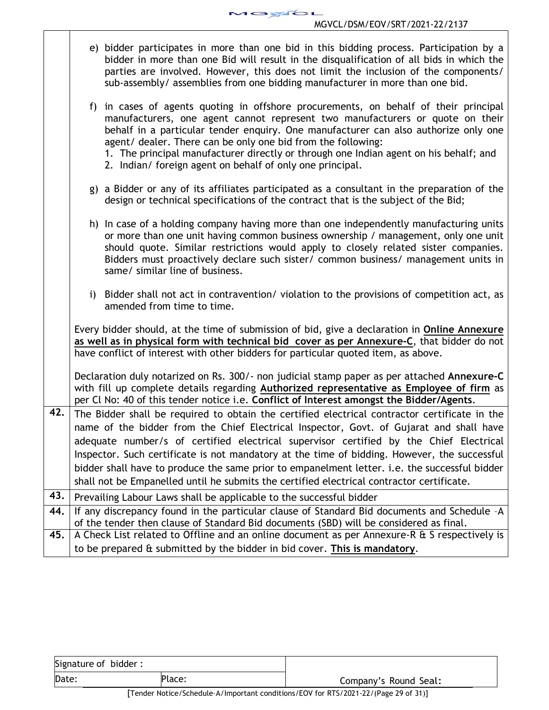$\overline{\phantom{0}}$ 

|     | e) bidder participates in more than one bid in this bidding process. Participation by a<br>bidder in more than one Bid will result in the disqualification of all bids in which the<br>parties are involved. However, this does not limit the inclusion of the components/<br>sub-assembly/ assemblies from one bidding manufacturer in more than one bid.                                                                                                                            |  |  |  |
|-----|---------------------------------------------------------------------------------------------------------------------------------------------------------------------------------------------------------------------------------------------------------------------------------------------------------------------------------------------------------------------------------------------------------------------------------------------------------------------------------------|--|--|--|
|     | in cases of agents quoting in offshore procurements, on behalf of their principal<br>f)<br>manufacturers, one agent cannot represent two manufacturers or quote on their<br>behalf in a particular tender enquiry. One manufacturer can also authorize only one<br>agent/ dealer. There can be only one bid from the following:<br>1. The principal manufacturer directly or through one Indian agent on his behalf; and<br>2. Indian/ foreign agent on behalf of only one principal. |  |  |  |
|     | g) a Bidder or any of its affiliates participated as a consultant in the preparation of the<br>design or technical specifications of the contract that is the subject of the Bid;                                                                                                                                                                                                                                                                                                     |  |  |  |
|     | h) In case of a holding company having more than one independently manufacturing units<br>or more than one unit having common business ownership / management, only one unit<br>should quote. Similar restrictions would apply to closely related sister companies.<br>Bidders must proactively declare such sister/ common business/ management units in<br>same/ similar line of business.                                                                                          |  |  |  |
|     | i) Bidder shall not act in contravention/violation to the provisions of competition act, as<br>amended from time to time.                                                                                                                                                                                                                                                                                                                                                             |  |  |  |
|     | Every bidder should, at the time of submission of bid, give a declaration in Online Annexure<br>as well as in physical form with technical bid cover as per Annexure-C, that bidder do not<br>have conflict of interest with other bidders for particular quoted item, as above.                                                                                                                                                                                                      |  |  |  |
|     | Declaration duly notarized on Rs. 300/- non judicial stamp paper as per attached Annexure-C<br>with fill up complete details regarding Authorized representative as Employee of firm as<br>per Cl No: 40 of this tender notice i.e. Conflict of Interest amongst the Bidder/Agents.                                                                                                                                                                                                   |  |  |  |
| 42. | The Bidder shall be required to obtain the certified electrical contractor certificate in the                                                                                                                                                                                                                                                                                                                                                                                         |  |  |  |
|     | name of the bidder from the Chief Electrical Inspector, Govt. of Gujarat and shall have<br>adequate number/s of certified electrical supervisor certified by the Chief Electrical                                                                                                                                                                                                                                                                                                     |  |  |  |
|     | Inspector. Such certificate is not mandatory at the time of bidding. However, the successful                                                                                                                                                                                                                                                                                                                                                                                          |  |  |  |
|     | bidder shall have to produce the same prior to empanelment letter. i.e. the successful bidder                                                                                                                                                                                                                                                                                                                                                                                         |  |  |  |
| 43. | shall not be Empanelled until he submits the certified electrical contractor certificate.                                                                                                                                                                                                                                                                                                                                                                                             |  |  |  |
| 44. | Prevailing Labour Laws shall be applicable to the successful bidder<br>If any discrepancy found in the particular clause of Standard Bid documents and Schedule -A                                                                                                                                                                                                                                                                                                                    |  |  |  |
|     | of the tender then clause of Standard Bid documents (SBD) will be considered as final.                                                                                                                                                                                                                                                                                                                                                                                                |  |  |  |
| 45. | A Check List related to Offline and an online document as per Annexure-R & S respectively is                                                                                                                                                                                                                                                                                                                                                                                          |  |  |  |
|     | to be prepared & submitted by the bidder in bid cover. This is mandatory.                                                                                                                                                                                                                                                                                                                                                                                                             |  |  |  |

| Signature of bidder: |        |                              |
|----------------------|--------|------------------------------|
| Date:                | Place: | Company's Round Seal:        |
|                      |        | _ _ _ _ . _ . _ . _ _ _<br>. |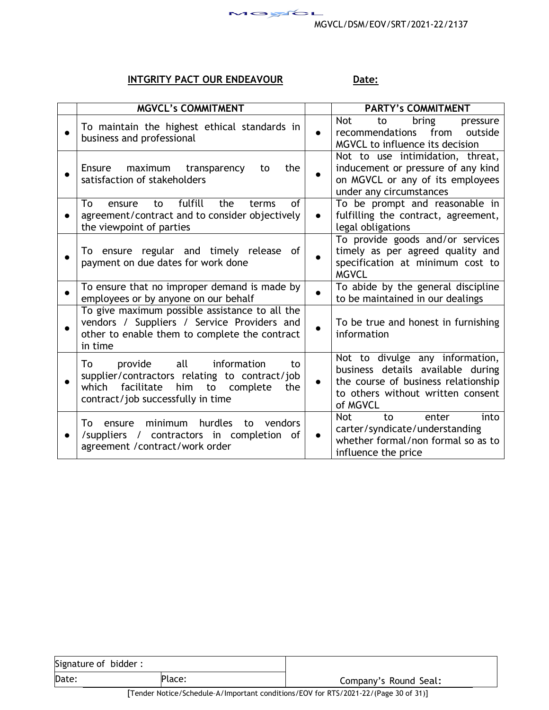

# **INTGRITY PACT OUR ENDEAVOUR Date:**

| <b>MGVCL's COMMITMENT</b>                                                                                                                                                              |           | <b>PARTY's COMMITMENT</b>                                                                                                                                    |
|----------------------------------------------------------------------------------------------------------------------------------------------------------------------------------------|-----------|--------------------------------------------------------------------------------------------------------------------------------------------------------------|
| To maintain the highest ethical standards in<br>business and professional                                                                                                              | $\bullet$ | Not.<br>bring<br>to<br>pressure<br>recommendations<br>from<br>outside<br>MGVCL to influence its decision                                                     |
| Ensure<br>maximum transparency<br>the<br>to<br>satisfaction of stakeholders                                                                                                            |           | Not to use intimidation, threat,<br>inducement or pressure of any kind<br>on MGVCL or any of its employees<br>under any circumstances                        |
| fulfill<br>To<br>the<br>Ωf<br>terms<br>ensure<br>to<br>agreement/contract and to consider objectively<br>the viewpoint of parties                                                      | $\bullet$ | To be prompt and reasonable in<br>fulfilling the contract, agreement,<br>legal obligations                                                                   |
| To ensure regular and timely release of<br>payment on due dates for work done                                                                                                          |           | To provide goods and/or services<br>timely as per agreed quality and<br>specification at minimum cost to<br><b>MGVCL</b>                                     |
| To ensure that no improper demand is made by<br>employees or by anyone on our behalf                                                                                                   |           | To abide by the general discipline<br>to be maintained in our dealings                                                                                       |
| To give maximum possible assistance to all the<br>vendors / Suppliers / Service Providers and<br>other to enable them to complete the contract<br>in time                              | $\bullet$ | To be true and honest in furnishing<br>information                                                                                                           |
| all<br>To<br>provide<br>information<br>to<br>supplier/contractors relating to contract/job<br>facilitate<br>him<br>which<br>to<br>complete<br>the<br>contract/job successfully in time | $\bullet$ | Not to divulge any information,<br>business details available during<br>the course of business relationship<br>to others without written consent<br>of MGVCL |
| hurdles<br>minimum<br>vendors<br>Т٥<br>to<br>ensure<br>/suppliers / contractors in completion of<br>agreement /contract/work order                                                     |           | <b>Not</b><br>into<br>to<br>enter<br>carter/syndicate/understanding<br>whether formal/non formal so as to<br>influence the price                             |

| Signature of bidder: |                            |                                                                                                                                                                                                                                                                                                                                                                                                                                                              |
|----------------------|----------------------------|--------------------------------------------------------------------------------------------------------------------------------------------------------------------------------------------------------------------------------------------------------------------------------------------------------------------------------------------------------------------------------------------------------------------------------------------------------------|
| Date:                | Place:                     | Company's Round Seal:                                                                                                                                                                                                                                                                                                                                                                                                                                        |
| г—                   | $\blacksquare$<br>$\cdots$ | $\mathcal{L} = \mathcal{L} \mathcal{L} \mathcal{L} \mathcal{L} \mathcal{L} \mathcal{L} \mathcal{L} \mathcal{L} \mathcal{L} \mathcal{L} \mathcal{L} \mathcal{L} \mathcal{L} \mathcal{L} \mathcal{L} \mathcal{L} \mathcal{L} \mathcal{L} \mathcal{L} \mathcal{L} \mathcal{L} \mathcal{L} \mathcal{L} \mathcal{L} \mathcal{L} \mathcal{L} \mathcal{L} \mathcal{L} \mathcal{L} \mathcal{L} \mathcal{L} \mathcal{L} \mathcal{L} \mathcal{L} \mathcal{L} \mathcal$ |

[Tender Notice/Schedule–A/Important conditions/EOV for RTS/2021-22/(Page 30 of 31)]